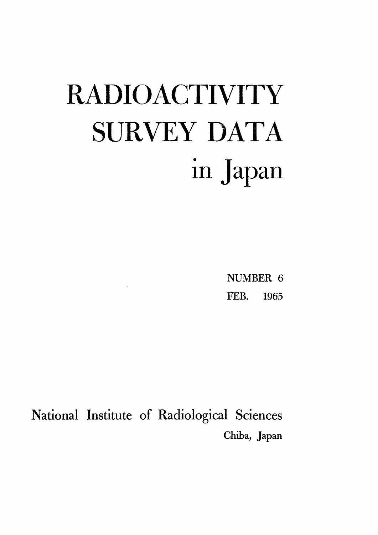# **RADIOACTIVITY** SURVEY DATA in Japan

NUMBER 6 FEB. 1965

National Institute of Radiological Sciences Chiba, Japan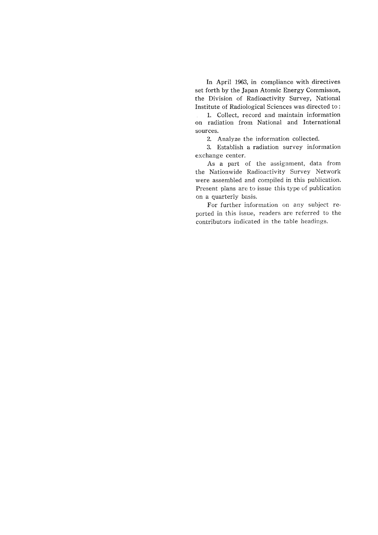In April 1963, in compliance with directives set forth by the Japan Atomic Energy Commisson, the Division of Radioactivity Survey, National Institute of Radiological Sciences was directed to:

1. Collect, record and maintain information on radiation from National and International sources.

2. Analyze the information collected.

3. Establish a radiation survey information exchange center.

As a part of the assignment, data from the Nationwide Radioactivity Survey Network were assembled and compiled in this publication. Present plans are to issue this type of publication on a quarterly basis.

For further information on any subject reported in this issue, readers are referred to the contributors indicated in the table headings.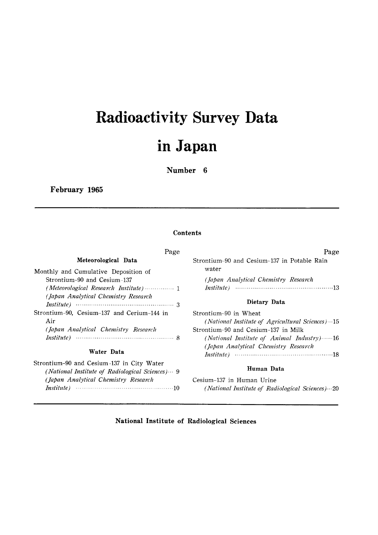# Radioactivity Survey Data inJapan

Number 6

February 1965

#### **Contents**

| Page                                                                | Page                                                                             |
|---------------------------------------------------------------------|----------------------------------------------------------------------------------|
| Meteorological Data                                                 | Strontium-90 and Cesium-137 in Potable Rain<br>water                             |
| Monthly and Cumulative Deposition of<br>Strontium-90 and Cesium-137 | (Japan Analytical Chemistry Research                                             |
| (Japan Analytical Chemistry Research                                | Dietary Data                                                                     |
| Strontium-90, Cesium-137 and Cerium-144 in<br>Air                   | Strontium-90 in Wheat<br>(National Institute of Agricultural Sciences) $-15$     |
| (Japan Analytical Chemistry Research                                | Strontium-90 and Cesium-137 in Milk<br>(National Institute of Animal Industry)16 |
| Water Data                                                          | (Japan Analytical Chemistry Research                                             |

Strontium-90 and Cesium-137 in City Water

(Japan Analytical Chemistry Research

### (National Institute of Radiological Sciences) ··· 9 **Human Data**

Cesium-137 in Human Urine (National Institute of Radiological Sciences) ... 20

#### National Institute of Radiological Sciences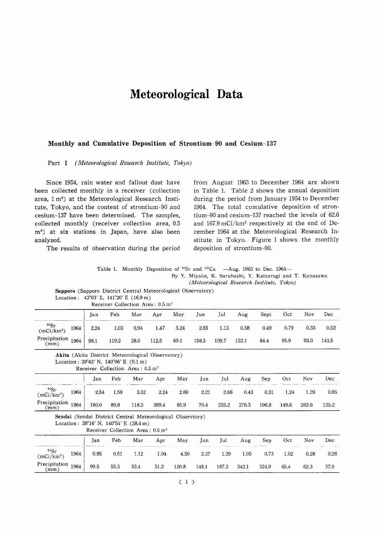# Meteorological Data

#### Monthly and Cumulative Deposition of Strontium-90 and Cesium-137

Part I (Meteorological Research Institute, Tokyo)

Since 1954, rain water and fallout dust have been collected monthly in a receiver (collection area, 1 m<sup>2</sup>) at the Meteorological Research Institute, Tokyo, and the content of strontium-90 and cesium-137 have been determined. The samples, collected monthly (receiver collection area, 0.5 m<sup>2</sup>) at six stations in Japan, have also been analyzed.

The results of observation during the period

from August 1963 to December 1964 are shown in Table 1. Table 2 shows the annual deposition during the period from January 1954 to December 1964. The total cumulative deposition of strontium-90 and cesium-137 reached the levels of  $62.6$ and  $167.9 \text{ mCi/km}^2$  respectively at the end of December 1964 at the Meteorological Research Institute in Tokyo. Figure 1 shows the monthly deposition of strontium-9

|  | Table 1. Monthly Deposition of <sup>90</sup> Sr and <sup>137</sup> Cs $-Aug.$ 1963 to Dec. 1964— |  |
|--|--------------------------------------------------------------------------------------------------|--|
|  | By Y. Miyake, K. Saruhashi, Y. Katsuragi and T. Kanazawa                                         |  |
|  | (Meteorological Research Institute, Tokyo)                                                       |  |

Sapporo (Sapporo District Central Meteorological Observatory) Location:  $43^{\circ}03'$  E,  $141^{\circ}20'$  E (16.9 m) Receiver Collection Area: 0.5 m<sup>2</sup>

|                                            |      | Jan  | Feb   | Mar  | Apr   | May  | Jun   | Jul   | Aug   | Sept | Oct  | <b>Nov</b> | Dec   |
|--------------------------------------------|------|------|-------|------|-------|------|-------|-------|-------|------|------|------------|-------|
| <sup>90</sup> Sr<br>(mCi/km <sup>2</sup> ) | 1964 | 2.24 | 1.03  | 0.94 | 1.47  | 5.24 | 2.65  | 1.13  | 0.58  | 0.49 | 0.79 | 0.33       | 0.52  |
| Precipitation $1964$<br>(mm)               |      | 98.1 | 119.2 | 38.0 | 112.5 | 69.1 | 158.5 | 109.7 | 152.1 | 84.4 | 95.9 | 93.0       | 143.5 |

| <b>Akita</b> (Akita District Meteorological Observatory) |  |  |
|----------------------------------------------------------|--|--|
| Location: $39^{\circ}43'$ N, $140^{\circ}06'$ E (9.1 m)  |  |  |

Receiver Collection Area: 0.5 m<sup>2</sup>

|                                                      | Jan   | Feb  | Mar   | Apr   | May  | Jun  | Jul   | Aug      | Sep   | Oct   | Nov   | Dec   |
|------------------------------------------------------|-------|------|-------|-------|------|------|-------|----------|-------|-------|-------|-------|
| $\frac{{}^{90}\text{Sr}}{(\text{mCi/km}^2)}$<br>1964 | 2.54  | 1.59 | 3.32  | 2.24  | 2.60 | 2.21 | 2.66  | $0.43\,$ | 0.31  | 1.24  | 1.29  | 0.95  |
| Precipitation<br>(mm)<br>1964                        | 160.0 | 80.8 | 118.3 | 399.4 | 85.9 | 70.4 | 235.2 | 276.3    | 196.8 | 149.6 | 263.6 | 125.2 |

Sendai (Sendai District Central Meteorological Observtory)

Location:  $38^{\circ}16'$  N,  $140^{\circ}54'$  E (38.4 m) Receiver Collection Area:  $0.5 \text{ m}^2$ 

|                                          | Receiver Conection Area : 0.0 m |      |      |      |      |       |       |       |       |       |          |      |      |  |
|------------------------------------------|---------------------------------|------|------|------|------|-------|-------|-------|-------|-------|----------|------|------|--|
|                                          |                                 | Jan  | Feb  | Mar  | Apr  | May   | Jun   | Jul   | Aug   | Sep.  | Oct      | Nov. | Dec. |  |
| $\frac{90}{5}$<br>(mCi/km <sup>2</sup> ) | 1964                            | 0.85 | 0.51 | 1.12 | 1.04 | 4.50  | 2.37  | 1.39  | 1.05  | 0.73  | $1.02\,$ | 0.28 | 0.26 |  |
| Precipitation<br>(mm)                    | 1964                            | 99.5 | 55.3 | 53.4 | 51.2 | 120.8 | 148.1 | 187.3 | 342.1 | 324.9 | 65.4     | 62.3 | 37.0 |  |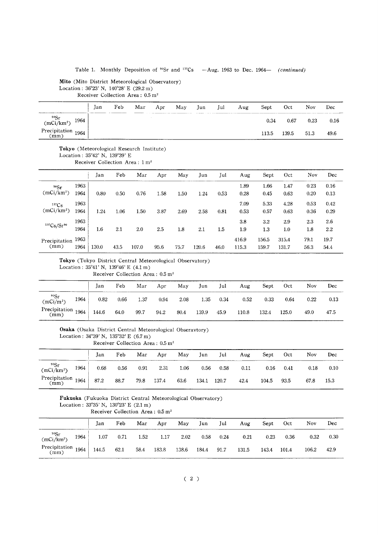#### Table 1. Monthly Deposition of <sup>90</sup>Sr and <sup>137</sup>Cs -Aug. 1963 to Dec. 1964- (continued)

#### Mito (Mito District Meteorological Observatory) Location:  $36^{\circ}23'$  N,  $140^{\circ}28'$  E (29.2 m) Receiver Collection Area: 0.5 m<sup>2</sup>

|                                                  | Jan | Feb | Mar | Apr | May | Jun | Jul | Aug | Sept  | Oct   | Nov  | Dec  |
|--------------------------------------------------|-----|-----|-----|-----|-----|-----|-----|-----|-------|-------|------|------|
| $\frac{90}{5}$<br>(mCi/km <sup>2</sup> )<br>1964 |     |     |     |     |     |     |     |     | 0.34  | 0.67  | 0.23 | 0.16 |
| Precipitation 1964                               |     |     |     |     |     |     |     |     | 113.5 | 139.5 | 51.3 | 49.6 |

#### Tokyo (Meteorological Research Institute)

Location: 35°42' N, 139°39' E

Receiver Collection Area: 1 m<sup>2</sup>

|               |      | Jan   | Feb  | Mar   | Apr  | May  | Jun   | Jul  | Aug   | Sept  | Oct   | Nov  | Dec  |
|---------------|------|-------|------|-------|------|------|-------|------|-------|-------|-------|------|------|
| 90Sr          | 1963 |       |      |       |      |      |       |      | 1.89  | 1.66  | 1.47  | 0.23 | 0.16 |
| $(mCi/km^2)$  | 1964 | 0.80  | 0.50 | 0.76  | 1.58 | 1.50 | 1.24  | 0.53 | 0.28  | 0.45  | 0.63  | 0.20 | 0.13 |
| $137C_S$      | 1963 |       |      |       |      |      |       |      | 7.09  | 5.33  | 4.28  | 0.53 | 0.42 |
| $(mCi/km^2)$  | 1964 | 1.24  | 1.06 | 1.50  | 3.87 | 2.69 | 2.58  | 0.81 | 0.53  | 0.57  | 0.63  | 0.36 | 0.29 |
| 137Cs/Sr90    | 1963 |       |      |       |      |      |       |      | 3.8   | 3.2   | 2.9   | 2.3  | 2.6  |
|               | 1964 | 1.6   | 2.1  | 2.0   | 2.5  | 1.8  | 2.1   | 1.5  | 1.9   | 1.3   | 1.0   | 1.8  | 2.2  |
| Precipitation | 1963 |       |      |       |      |      |       |      | 416.9 | 156.5 | 315.4 | 79.1 | 19.7 |
| (mm)          | 1964 | 130.0 | 43.5 | 107.0 | 95.6 | 75.7 | 120.6 | 46.0 | 115.3 | 159.7 | 131.7 | 56.3 | 54.4 |

#### Tokyo (Tokyo District Central Meteorological Observatory) Location: 35°41' N, 139°46' E (4.1 m)

Receiver Collection Area: 0.5 m<sup>2</sup>

|                              |      | Jan   | Feb  | Mar  | Apr  | May  | Jun   | Jul  | Aug   | Sept       | Oct   | Nov      | Dec  |
|------------------------------|------|-------|------|------|------|------|-------|------|-------|------------|-------|----------|------|
| 90Sr<br>$(mCi/m^2)$          | 1964 | 0.82  | 0.66 | 1.37 | 0.94 | 2.08 | 1.35  | 0.34 | 0.52  | $\rm 0.33$ | 0.64  | ${0.22}$ | 0.13 |
| Precipitation $1964$<br>(mm) |      | 144.6 | 64.0 | 99.7 | 94.2 | 80.4 | 139.9 | 45.9 | 110.8 | 132.4      | 125.0 | 49.0     | 47.5 |

|  |  |  | Osaka (Osaka District Central Meteorological Obseravtory) |  |
|--|--|--|-----------------------------------------------------------|--|
|--|--|--|-----------------------------------------------------------|--|

Location:  $34^{\circ}39'$  N,  $135^{\circ}32'$  E

Receiver Collection Area:  $0.5 \text{ m}^2$ 

|                                              |      | Jan  | Feb  | Mar  | Apr   | May  | Jun   | Jul   | Aug  | Sept  | Oct  | Nov  | Dec  |
|----------------------------------------------|------|------|------|------|-------|------|-------|-------|------|-------|------|------|------|
| $\frac{{}^{90}\text{Sr}}{(\text{mCi/km}^2)}$ | 1964 | 0.68 | 0.56 | 0.91 | 2.31  | 1.06 | 0.56  | 0.58  | 0.11 | 0.16  | 0.41 | 0.18 | 0.10 |
| Precipitation 1964   $\circ$<br>(mm)         |      | 87.2 | 88.7 | 79.8 | 137.4 | 63.6 | 134.1 | 120.7 | 42.4 | 104.5 | 93.5 | 67.8 | 15.3 |

#### Fukuoka (Fukuoka District Central Meteorological Observatory) Location: 33°35' N, 130°23' E (2.1 m) Receiver Collection Area: 0.5 m<sup>2</sup>

|                                            |      | Jan   | Feb  | Mar  | Apr   | May   | Jun   | Jul  | Aug   | Sept  | Oct   | Nov   | Dec  |
|--------------------------------------------|------|-------|------|------|-------|-------|-------|------|-------|-------|-------|-------|------|
| <sup>90</sup> Sr<br>(mCi/km <sup>2</sup> ) | 1964 | 1.07  | 0.71 | 1.52 | 1.17  | 2.02  | 0.58  | 0.24 | 0.21  | 0.23  | 0.36  | 0.32  | 0.30 |
| Precipitation $1964$<br>(mm)               |      | 144.5 | 62.1 | 58.4 | 183.8 | 138.6 | 184.4 | 91.7 | 131.5 | 143.4 | 101.4 | 106.2 | 42.9 |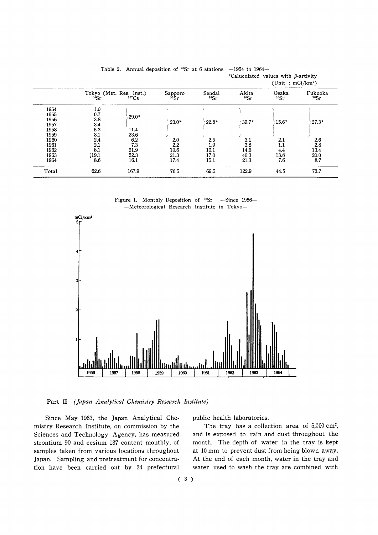|                                      |                                 |                                              |                             |                      | (Unit: $mCi/km^2$ )  |                    |                     |
|--------------------------------------|---------------------------------|----------------------------------------------|-----------------------------|----------------------|----------------------|--------------------|---------------------|
|                                      | 90Sr                            | Tokyo (Met. Res. Inst.)<br>137 <sub>Cs</sub> | Sapporo<br>90 <sub>5r</sub> | Sendai<br>90Sr       | Akita<br>90Sr        | Osaka<br>90Sr      | Fukuoka<br>90Sr     |
| 1954<br>1955<br>1956<br>1957<br>1958 | 1.0<br>0.7<br>3.8<br>3.4<br>5.3 | $29.0*$<br>11.4                              | $23.0*$                     | $22.8*$              | $39.7*$              | $15.6*$            | $27.3*$             |
| 1959<br>1960<br>1961                 | 8.1<br>2.4<br>2.1               | 23.6<br>6.2<br>7.3                           | 2.0<br>2.2                  | 2.5<br>1.9           | 3.1<br>3.8           | 2.1<br>1.1         | 2.6<br>2.8          |
| 1962<br>1963<br>1964                 | 8.1<br>[19.1]<br>8.6            | 21.9<br>52.3<br>16.1                         | 10.6<br>21.3<br>17.4        | 10.1<br>17.0<br>15.1 | 14.6<br>40.3<br>21.3 | 4.4<br>13.8<br>7.6 | 13.4<br>20.0<br>8.7 |
| Total                                | 62.6                            | 167.9                                        | 76.5                        | 69.5                 | 122.9                | 44.5               | 73.7                |

Table 2. Annual deposition of <sup>90</sup>Sr at 6 stations -1954 to 1964-\*Caluculated values with  $\beta$ -artivity

Figure 1. Monthly Deposition of <sup>90</sup>Sr -Since 1956--Meteorological Research Institute in Tokyo-



Part II (Japan Analytical Chemistry Research Institute)

Since May 1963, the Japan Analytical Chemistry Research Institute, on commission by the Sciences and Technology Agency, has measured strontium-90 and cesium-137 content monthly, of samples taken from various locations throughout Japan. Sampling and pretreatment for concentration have been carried out by 24 prefectural

public health laboratories.

The tray has a collection area of 5,000 cm<sup>2</sup>, and is exposed to rain and dust throughout the month. The depth of water in the tray is kept at 10 mm to prevent dust from being blown away. At the end of each month, water in the tray and water used to wash the tray are combined with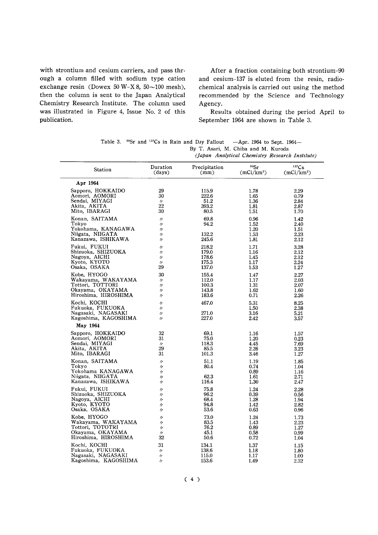with strontium and cesium carriers, and pass through a column filled with sodium type cation exchange resin (Dowex 50 W-X 8,  $50 \sim 100$  mesh), then the column is sent to the Japan Analytical Chemistry Research Institute. The column used was illustrated in Figure 4, Issue No. 2 of this publication.

After a fraction containing both strontium-90 and cesium-137 is eluted from the resin, radiochemical analysis is carried out using the method recommended by the Science and Technology Agency.

Results obtained during the period April to September 1964 are shown in Table 3.

|  | Table 3. $^{90}$ Sr and $^{137}$ Cs in Rain and Dry Fallout -Apr. 1964 to Sept. 1964- |
|--|---------------------------------------------------------------------------------------|
|  | By T. Asari, M. Chiba and M. Kuroda                                                   |

(Japan Analytical Chemistry Research Institute)

| Station                                                                                 | Duration                                                                | Precipitation                  | 90Sr                                 | $137C_S$                             |
|-----------------------------------------------------------------------------------------|-------------------------------------------------------------------------|--------------------------------|--------------------------------------|--------------------------------------|
|                                                                                         | (days)                                                                  | (mm)                           | (mCi/km <sup>2</sup> )               | $(mCi/km^2)$                         |
| Apr 1964                                                                                |                                                                         |                                |                                      |                                      |
| Sapporo, HOKKAIDO                                                                       | 29                                                                      | 115.9                          | 1.78                                 | 2.29                                 |
| Aomori, AOMORI                                                                          | 30                                                                      | 222.6                          | 1.65                                 | 0.79                                 |
| Sendai, MIYAGI                                                                          | $\prime$                                                                | 51.2                           | 1.36                                 | 2.84                                 |
| Akita, AKITA                                                                            | 22                                                                      | 393.2                          | 1.81                                 | 2.87                                 |
| Mito, IBARAGI                                                                           | 30                                                                      | 80.5                           | 1.51                                 | 1.70                                 |
| Konan, SAITAMA<br>Tokyo<br>Yokohama, KANAGAWA<br>Niigata, NIIGATA<br>Kanazawa, ISHIKAWA | $\prime$<br>$\prime$<br>$^{\prime\prime}$<br>$\prime$<br>$\prime$       | 69.8<br>94.2<br>132.2<br>245.6 | 0.96<br>1.52<br>1.20<br>1.53<br>1.81 | 1.42<br>2.40<br>1.51<br>2.23<br>2.12 |
| Fukui, FUKUI                                                                            | $^{\prime\prime}$                                                       | 218.2                          | 1.71                                 | 3.28                                 |
| Shizuoka, SHIZUOKA                                                                      | $^{\prime\prime}$                                                       | 179.0                          | 1.16                                 | 2.12                                 |
| Nagoya, AICHI                                                                           | $\prime$                                                                | 178.6                          | 1.45                                 | 2.12                                 |
| Kyoto, KYOTO                                                                            | $\prime$                                                                | 175.3                          | 1.17                                 | 2.24                                 |
| Osaka, OSAKA                                                                            | 29                                                                      | 137.0                          | 1.53                                 | 1.27                                 |
| Kobe, HYOGO                                                                             | 30                                                                      | 155.4                          | 1.47                                 | 2.27                                 |
| Wakayama, WAKAYAMA                                                                      | $\prime$                                                                | 112.0                          | 1.17                                 | 2.03                                 |
| Tottori, TOTTORI                                                                        | $\prime$                                                                | 100.3                          | 1.31                                 | 2.07                                 |
| Okayama, OKAYAMA                                                                        | $\prime$                                                                | 143.8                          | 1.62                                 | 1.60                                 |
| Hiroshima, HIROSHIMA                                                                    | $\prime$                                                                | 183.6                          | 0.71                                 | 2.26                                 |
| Kochi, KOCHI<br>Fukuoka, FUKUOKA<br>Nagasaki, NAGASAKI<br>Kagoshima, KAGOSHIMA          | $^{\prime\prime}$<br>$\prime$<br>$\prime$<br>$\prime$                   | 467.0<br>271.0<br>227.0        | 5.31<br>1.50<br>3.16<br>2.42         | 8.25<br>2.38<br>5.21<br>3.57         |
| May 1964                                                                                |                                                                         |                                |                                      |                                      |
| Sapporo, HOKKAIDO                                                                       | 32                                                                      | 69.1                           | 1.16                                 | 1.57                                 |
| Aomori, AOMORI                                                                          | 31                                                                      | 75.0                           | 1.20                                 | 0.23                                 |
| Sendai, MIYAGI                                                                          | $\prime$                                                                | 118.3                          | 4.45                                 | 7.69                                 |
| Akita, AKITA                                                                            | 29                                                                      | 85.5                           | 2.26                                 | 3.23                                 |
| Mito, IBARAGI                                                                           | 31                                                                      | 101.3                          | 3.46                                 | 1.27                                 |
| Konan, SAITAMA<br>Tokyo<br>Yokohama KANAGAWA<br>Niigata, NIIGATA<br>Kanazawa, ISHIKAWA  | $^{\prime\prime}$<br>11<br>$^{\prime\prime}$<br>11<br>$^{\prime\prime}$ | 51.1<br>80.4<br>62.3<br>116.4  | 1.19<br>0.74<br>0.89<br>1.61<br>1.30 | 1.85<br>1.04<br>1.16<br>2.71<br>2.47 |
| Fukui, FUKUI                                                                            | 11                                                                      | 75.8                           | 1.24                                 | 2.28                                 |
| Shizuoka, SHIZUOKA                                                                      | $^{\prime\prime}$                                                       | 96.2                           | 0.39                                 | 0.56                                 |
| Nagoya, AICHI                                                                           | $\prime$                                                                | 68.4                           | 1.28                                 | 1.94                                 |
| Kyoto, KYOTO                                                                            | $\prime$                                                                | 94.8                           | 1.42                                 | 2.82                                 |
| Osaka, OSAKA                                                                            | $\prime$                                                                | 53.6                           | 0.63                                 | 0.96                                 |
| Kobe, HYOGO                                                                             | 11                                                                      | 73.0                           | 1.24                                 | 1.73                                 |
| Wakayama, WAKAYAMA                                                                      | $^{\prime\prime}$                                                       | 83.5                           | 1.43                                 | 2.23                                 |
| Tottori, TOTOTRI                                                                        | $^{\prime\prime}$                                                       | 76.2                           | 0.89                                 | 1.27                                 |
| Okayama, OKAYAMA                                                                        | $^{\prime\prime}$                                                       | 45.1                           | 0.58                                 | 0.99                                 |
| Hiroshima, HIROSHIMA                                                                    | 32                                                                      | 50.6                           | 0.72                                 | 1.04                                 |
| Kochi, KOCHI                                                                            | 31                                                                      | 134.1                          | 1.37                                 | 1.15                                 |
| Fukuoka, FUKUOKA                                                                        | 11                                                                      | 138.6                          | 1.18                                 | 1.80                                 |
| Nagasaki, NAGASAKI                                                                      | $^{\prime\prime}$                                                       | 115.0                          | 1.17                                 | 1.00                                 |
| Kagoshima, KAGOSHIMA                                                                    | $\prime$                                                                | 153.6                          | 1.49                                 | 2.32                                 |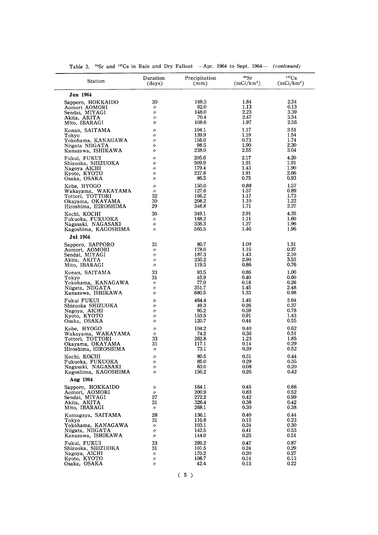| Station                                                     | Duration                                     | Precipitation          | 90Sr                   | 137Cs                  |
|-------------------------------------------------------------|----------------------------------------------|------------------------|------------------------|------------------------|
|                                                             | (days)                                       | (mm)                   | (mCi/km <sup>2</sup> ) | (mCi/km <sup>2</sup> ) |
| Jun 1964                                                    |                                              |                        |                        |                        |
| Sapporo, HOKKAIDO                                           | 30                                           | 149.3                  | 1.84                   | 2.54                   |
| Aomori AOMORI                                               | $^{\prime\prime}$                            | 92.0                   | 1.13                   | 0.13                   |
| Sendai, MIYAGI                                              | $\prime\prime$                               | 148.0                  | 2.23                   | 3.39                   |
| Akita, AKITA                                                | $^{\prime\prime}$                            | 70.4                   | 2.47                   | 3.54                   |
| Mito, IBARAGI                                               | IJ                                           | 108.6                  | 1.97                   | 2.56                   |
| Konan, SAITAMA<br>Tokyo                                     | $^{\prime\prime}$<br>$^{\prime\prime}$       | 104.1<br>139.9         | 1.17<br>1.19<br>0.73   | 3.51<br>1.54<br>1.74   |
| Yokohama, KANAGAWA<br>Niigata NIIGATA<br>Kanazawa, ISHIKAWA | $^{\prime\prime}$<br>11<br>$^{\prime\prime}$ | 156.0<br>98.5<br>238.0 | 1.90<br>2.55           | 2.30<br>3.04           |
| Fukui, FUKUI                                                | $^{\prime\prime}$                            | 205.6                  | 2.17                   | 4.20                   |
| Shizuoka, SHIZUOKA                                          | $^{\prime\prime}$                            | 509.9                  | 1.91                   | 1.91                   |
| Nagoya AICHI                                                | 11                                           | 179.4                  | 1.43                   | 1.90                   |
| Kyoto, KYOTO                                                | $^{\prime\prime}$                            | 227.8                  | 1.91                   | 2.66                   |
| Osaka, OSAKA                                                | 11                                           | 86.5                   | 0.75                   | 0.93                   |
| Kobe, HYOGO                                                 | 〃                                            | 150.0                  | 0.88                   | 1.57                   |
| Wakayama, WAKAYAMA                                          | IJ                                           | 127.6                  | 1.57                   | 0.89                   |
| Tottori, TOTTORI                                            | 32                                           | 166.2                  | 1.17                   | 1.73                   |
| Okayama, OKAYAMA                                            | 30                                           | 208.2                  | 1.10                   | 1.22                   |
| Hiroshima, HIROSHIMA                                        | 29                                           | 346.8                  | 1.71                   | 2.27                   |
| Kochi, KOCHI                                                | 30                                           | 349.1                  | 2.91                   | 4.35                   |
| Fukuoka, FUKUOKA                                            | $^{\prime\prime}$                            | 188.2                  | 1.11                   | 1.60                   |
| Nagasaki, NAGASAKI                                          | $^{\prime\prime}$                            | 336.3                  | 1.27                   | 1.96                   |
| Kagoshima, KAGOSHIMA                                        | $^{\prime\prime}$                            | 565.5                  | 1.46                   | 1.96                   |
| <b>Jul 1964</b><br>Sapporo, SAPPORO                         | 31                                           | 80.7                   | 1.09                   | 1.51                   |
| Aomori, AOMORI                                              | $^{\prime\prime}$                            | 178.0                  | 1.15                   | 0.37                   |
| Sendai, MIYAGI                                              | $^{\prime\prime}$                            | 187.3                  | 1.43                   | 2.10                   |
| Akita, AKITA                                                | $^{\prime\prime}$                            | 235.2                  | 2.90                   | 3.53                   |
| Mito, IBARAGI                                               | $^{\prime\prime}$                            | 119.5                  | 0.86                   | 0.76                   |
| Konan, SAITAMA                                              | 33                                           | 93.5                   | 0.86                   | 1.00                   |
| Tokyo                                                       | 31                                           | 45.9                   | 0.40                   | 0.60                   |
| Yokohama, KANAGAWA                                          | $^{\prime\prime}$                            | 77.9                   | 0.18                   | 0.26                   |
| Niigata, NIIGATA                                            | $^{\prime\prime}$                            | 351.7                  | 1.45                   | 2.48                   |
| Kanazawa, ISHIKAWA                                          | 〃                                            | 680.5                  | 1.33                   | 0.98                   |
| Fukui FUKUI                                                 | "                                            | 464.4                  | 1.45                   | 2.64                   |
| Shizuoka SHIZUOKA                                           | "                                            | 49.3                   | 0.26                   | 0.37                   |
| Nagoya, AICHI                                               | $^{\prime\prime}$                            | 95.2                   | 0.59                   | 0.78                   |
| Kyoto, KYOTO                                                | 11                                           | 153.5                  | 0.91                   | 1.43                   |
| Osaka, OSAKA                                                | $^{\prime\prime}$                            | 120.7                  | 0.44                   | 0.55                   |
| Kobe, HYOGO                                                 | 11                                           | 104.2                  | 0.40                   | 0.62                   |
| Wakayama, WAKAYAMA                                          | $^{\prime\prime}$                            | 74.2                   | 0.36                   | 0.51                   |
| Tottori, TOTTORI                                            | 33                                           | 262.8                  | 1.23                   | 1.85                   |
| Okayama, OKAYAMA                                            | 31                                           | 117.1                  | 0.14                   | 0.29                   |
| Hiroshima, HIROSHIMA                                        | $^{\prime\prime}$                            | 73.1                   | 0.39                   | 0.52                   |
| Kochi, KOCHI                                                | $^{\prime\prime}$                            | 80.5                   | 0.31                   | 0.44                   |
| Fukuoka, FUKUOKA                                            | $^{\prime\prime}$                            | 85.0                   | 0.29                   | 0.35                   |
| Nagasaki, NAGASAKI                                          | $^{\prime\prime}$                            | 63.0                   | 0.08                   | $0.20\,$               |
| Kagoshima, KAGOSHIMA                                        | $^{\prime\prime}$                            | 150.2                  | 0.26                   | 0.42                   |
| Aug 1964                                                    |                                              |                        |                        |                        |
| Sapporo, HOKKAIDO                                           | IJ                                           | 164.1                  | 0.45                   | 0.66                   |
| Aomori, AOMORI                                              | $^{\prime\prime}$                            | 200.9                  | 0.83                   | 0.52                   |
| Sendai, MIYAGI                                              | 27                                           | 272.2                  | 0.42                   | 0.99                   |
| Akita, AKITA                                                | 31                                           | 326.4                  | 0.38                   | 0.42                   |
| Mito, IBARAGI                                               | $^{\prime\prime}$                            | 268.1                  | 0.30                   | 0.38                   |
| Kumagaya, SAITAMA                                           | 28                                           | 136.1                  | 0.40                   | 0.44                   |
| Tokyo                                                       | 31                                           | 110.8                  | 0.15                   | 0.23                   |
| Yokohama, KANAGAWA                                          | $^{\prime\prime}$                            | 103.1                  | 0.24                   | $_{0.30}$              |
| Niigata, NIIGATA                                            | 11                                           | 142.5                  | 0.41                   | 0.53                   |
| Kanazawa, ISHIKAWA                                          | 11                                           | 144.0                  | 0.25                   | 0.51                   |
| Fukui, FUKUI                                                | 33                                           | 269.2                  | 0.47                   | 0.87                   |
| Shizuoka, SHIZUOKA                                          | 31                                           | 101.5                  | 0.24                   | 0.29                   |
| Nagoya, AICHI                                               | $^{\prime\prime}$                            | 170.2                  | 0.20                   | 0.27                   |
| Kyoto, KYOTO                                                | $^{\prime\prime}$                            | 108.7                  | 0.14                   | 0.13                   |
| Osaka, OSAKA                                                | $^{\prime\prime}$                            | 42.4                   | 0.13                   | 0.22                   |

Table 3.  $^{90}$ Sr and <sup>137</sup>Cs in Rain and Dry Fallout -Apr. 1964 to Sept. 1964- (continued)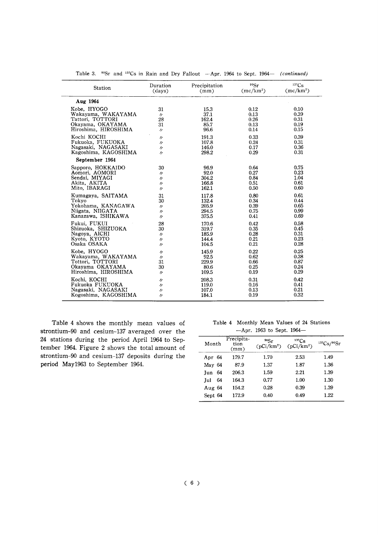| Station              | Duration          | Precipitation | 90Sr        | $137C_S$    |
|----------------------|-------------------|---------------|-------------|-------------|
|                      | (days)            | (mm)          | $(mc/km^2)$ | $(mc/km^2)$ |
| Aug 1964             |                   |               |             |             |
| Kobe, HYOGO          | 31                | 15.3          | 0.12        | 0.10        |
| Wakayama, WAKAYAMA   | $\prime$          | 37.1          | 0.13        | 0.39        |
| Tattori, TOTTORI     | 28                | 162.4         | 0.26        | 0.31        |
| Okayama, OKAYAMA     | 31                | 85.7          | 0.13        | 0.19        |
| Hiroshima, HIROSHIMA | $\prime$          | 96.6          | 0.14        | 0.15        |
| Kochi KOCHI          | $\prime$          | 191.3         | 0.33        | 0.39        |
| Fukuoka, FUKUOKA     | $\prime$          | 107.8         | 0.24        | 0.31        |
| Nagasaki, NAGASAKI   | $^{\prime\prime}$ | 146.0         | 0.17        | 0.36        |
| Kagoshima, KAGOSHIMA | $\prime$          | 298.2         | 0.29        | 0.31        |
| September 1964       |                   |               |             |             |
| Sapporo, HOKKAIDO    | 30                | 96.9          | 0.64        | 0.75        |
| Aomori, AOMORI       | $\prime$          | 92.0          | 0.27        | 0.23        |
| Sendai, MIYAGI       | "                 | 304.2         | 0.84        | 1.04        |
| Akita, AKITA         | 11                | 166.8         | 0.51        | 0.61        |
| Mito, IBARAGI        | $\prime$          | 162.1         | 0.50        | 0.60        |
| Kumagaya, SAITAMA    | 31                | 117.8         | 0.80        | 0.61        |
| Tokyo                | 30                | 132.4         | 0.34        | 0.44        |
| Yokohama, KANAGAWA   | $\prime$          | 205.9         | 0.39        | 0.65        |
| Niigata, NIIGATA     | "                 | 294.5         | 0.75        | 0.99        |
| Kanazawa, ISHIKAWA   | "                 | 375.5         | 0.41        | 0.69        |
| Fukui, FUKUI         | 28                | 170.6         | 0.42        | 0.58        |
| Shizuoka, SHIZUOKA   | 30                | 319.7         | 0.35        | 0.45        |
| Nagoya, AICHI        | $\prime$          | 185.9         | 0.28        | 0.31        |
| Kyoto, KYOTO         | 11                | 144.4         | 0.21        | 0.23        |
| Osaka OSAKA          | $\prime$          | 104.5         | 0.21        | 0.28        |
| Kobe, HYOGO          | $^{\prime\prime}$ | 145.9         | 0.22        | 0.25        |
| Wakayama, WAKAYAMA   | "                 | 92.5          | 0.62        | 0.38        |
| Tottori, TOTTORI     | 31                | 229.9         | 0.66        | 0.87        |
| Okayama OKAYAMA      | 30                | 80.6          | 0.25        | 0.24        |
| Hiroshima, HIROSHIMA | $\prime$          | 109.5         | 0.19        | 0.29        |
| Kochi, KOCHI         | 11                | 208.3         | 0.31        | 0.42        |
| Fukuoka FUKUOKA      | "                 | 119.0         | 0.16        | 0.41        |
| Nagasaki, NAGASAKI   | $^{\prime\prime}$ | 107.0         | 0.13        | 0.21        |
| Kogoshima, KAGOSHIMA | "                 | 184.1         | 0.19        | 0.32        |

Table 3. <sup>90</sup>Sr and <sup>137</sup>Cs in Rain and Dry Fallout -- Apr. 1964 to Sept. 1964- (continued)

Table 4 shows the monthly mean values of strontium-90 and cesium-137 averaged over the 24 stations during the period April 1964 to September 1964. Figure 2 shows the total amount of strontium-90 and cesium-137 deposits during the period May1963 to September 1964.

Table 4 Monthly Mean Values of 24 Stations  $-Apr.$  1963 to Sept. 1964-

| Month     | Precipita-<br>tion<br>(mm) | 90Sr<br>$(pCi/km^2)$ | $137C_S$<br>$(pCi/km^2)$ | 137Cs/99Sr |
|-----------|----------------------------|----------------------|--------------------------|------------|
| Apr 64    | 179.7                      | 1.70                 | 2.53                     | 1.49       |
| May 64    | 87.9                       | 1.37                 | 1.87                     | 1.36       |
| Jun $64$  | 206.3                      | 1.59                 | 2.21                     | 1.39       |
| 64<br>Jul | 164.3                      | 0.77                 | 1.00                     | 1.30       |
| Aug 64    | 154.2                      | 0.28                 | 0.39                     | 1.39       |
| Sept 64   | 172.9                      | 0.40                 | 0.49                     | 1.22       |
|           |                            |                      |                          |            |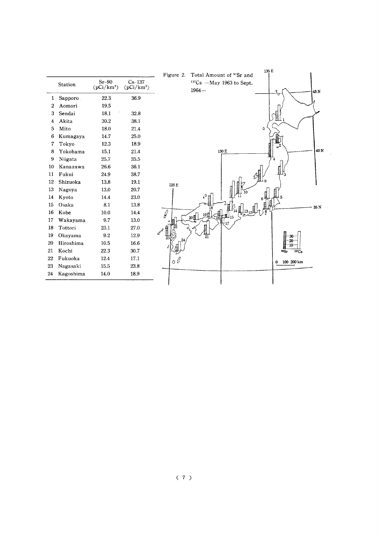|                  | Station   | $Sr-90$<br>$(pCi/km^2)$ | $Cs-137$<br>$(pCi/km^2)$ |
|------------------|-----------|-------------------------|--------------------------|
| 1                | Sapporo.  | 22.3                    | 36.9                     |
| $\boldsymbol{2}$ | Aomori    | 19.5                    |                          |
|                  | 3 Sendai  | 18.1                    | 32.8                     |
| 4                | Akita     | 30.2                    | 38.1                     |
| 5.               | Mito      | 18.0                    | 21.4                     |
| 6.               | Kumagaya  | 14.7                    | 25.0                     |
| 7                | Tokyo     | 12.3                    | 18.9                     |
| 8.               | Yokohama  | 15.1                    | 21.4                     |
| 9.               | Niigata   | 25.7                    | 35.5                     |
| 10 -             | Kanazawa  | 26.6                    | 36.1                     |
| 11               | Fukui     | 24.9                    | 38.7                     |
| 12               | Shizuoka  | 13.8                    | 19.1                     |
| 13               | Nagoya    | 13.0                    | 20.7                     |
| 14               | Kyoto     | 14.4                    | 23,0                     |
| 15.              | Osaka     | 8.1                     | 13.8                     |
| 16.              | Kobe      | 10.0                    | 14.4                     |
| 17 -             | Wakayama  | 9.7                     | 13.0                     |
| 18.              | Tottori   | 23.1                    | 27.0                     |
| 19               | Okayama   | 9.2                     | 12.9                     |
| 20               | Hiroshima | 10.5                    | 16.6                     |
| 21               | Kochi     | 22.3                    | 30.7                     |
| 22               | Fukuoka   | 12.4                    | 17.1                     |
| 23               | Nagasaki  | 15.5                    | 23.8                     |
| 24               | Kagoshima | 14.0                    | 18.9                     |

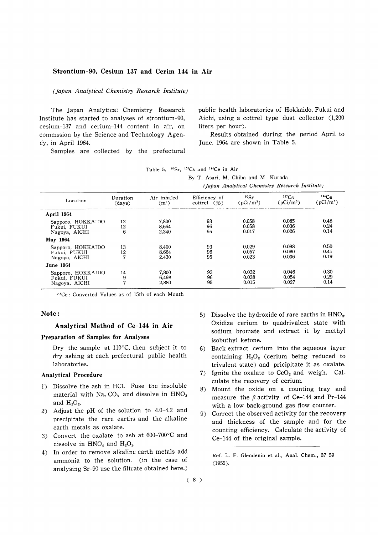#### Strontium-90, Cesium-137 and Cerim-144 in Air

#### (Japan Analytical Chemistry Research Institute)

The Japan Analytical Chemistry Research Institute has started to analyses of strontium-90, cesium-137 and cerium-144 content in air, on commssion by the Science and Technology Agency, in April 1964.

Samples are collected by the prefectural

public health laboratories of Hokkaido, Fukui and Aichi, using a cottrel type dust collector (1,200) liters per hour).

Results obtained during the period April to June. 1964 are shown in Table 5.

| Table 5. $^{90}Sr$ , $^{137}Cs$ and $^{144}Ce$ in Air |  |  |  |  |  |  |  |
|-------------------------------------------------------|--|--|--|--|--|--|--|
|-------------------------------------------------------|--|--|--|--|--|--|--|

By T. Asari, M. Chiba and M. Kuroda

(Japan Analytical Chemistry Research Institute)

| Location          | Duration | Air inhaled | Efficiency of  | 90Sr        | $137C_S$    | 144Ce           |
|-------------------|----------|-------------|----------------|-------------|-------------|-----------------|
|                   | (days)   | $(m^3)$     | cottrel $(\%)$ | $(pCi/m^3)$ | $(pCi/m^3)$ | $\rm (pCi/m^3)$ |
| April 1964        |          |             |                |             |             |                 |
| Sapporo, HOKKAIDO | 12       | 7.800       | 93             | 0.058       | 0.085       | 0.48            |
| Fukui, FUKUI      | 12       | 8,664       | 96             | 0.058       | 0.036       | 0.24            |
| Nagoya, AICHI     | 6        | 2,340       | 95             | 0.017       | 0.026       | 0.14            |
| May 1964          |          |             |                |             |             |                 |
| Sapporo, HOKKAIDO | 13       | 8,400       | 93             | 0.029       | 0.098       | 0.50            |
| Fukui, FUKUI      | 12       | 8.664       | 96             | 0.057       | 0.080       | 0.41            |
| Nagoya, AICHI     | 7        | 2.430       | 95             | 0.023       | 0.036       | 0.19            |
| <b>June 1964</b>  |          |             |                |             |             |                 |
| Sapporo, HOKKAIDO | 14       | 7,800       | 93             | 0.032       | 0.046       | 0.30            |
| Fukui, FUKUI      | 9        | 6.498       | 96             | 0.038       | 0.054       | 0.29            |
| Nagoya, AICHI     | 7        | 2.880       | 95             | 0.015       | 0.027       | 0.14            |

<sup>144</sup>Ce: Converted Values as of 15th of each Month

#### Note:

#### Analytical Method of Ce-144 in Air

#### Preparation of Samples for Analyses

Dry the sample at  $110^{\circ}$ C, then subject it to dry ashing at each prefectural public health laboratories.

#### **Analytical Procedure**

- 1) Dissolve the ash in HCl. Fuse the insoluble material with  $Na_2CO_3$  and dissolve in  $HNO_3$ and  $H_2O_2$ .
- 2) Adjust the pH of the solution to 4.0-4.2 and precipitate the rare earths and the alkaline earth metals as oxalate.
- 3) Convert the oxalate to ash at 600-700°C and dissolve in  $HNO<sub>4</sub>$  and  $H<sub>2</sub>O<sub>2</sub>$ .
- 4) In order to remove alkaline earth metals add ammonia to the solution. (in the case of analysing Sr-90 use the filtrate obtained here.)
- 5) Dissolve the hydroxide of rare earths in HNO<sub>3</sub>. Oxidize cerium to quadrivalent state with sodium bromate and extract it by methyl isobuthyl ketone.
- 6) Back-extract cerium into the aqueous layer containing  $H_2O_2$  (cerium being reduced to trivalent state) and pricipitate it as oxalate.
- 7) Ignite the oxalate to  $CeO<sub>2</sub>$  and weigh. Calculate the recovery of cerium.
- 8) Mount the oxide on a counting tray and measure the  $\beta$ -activity of Ce-144 and Pr-144 with a low back-ground gas flow counter.
- 9) Correct the observed activity for the recovery and thickness of the sample and for the counting efficiency. Calculate the activity of Ce-144 of the original sample.

Ref. L. F. Glendenin et al., Anal. Chem., 37 59  $(1955).$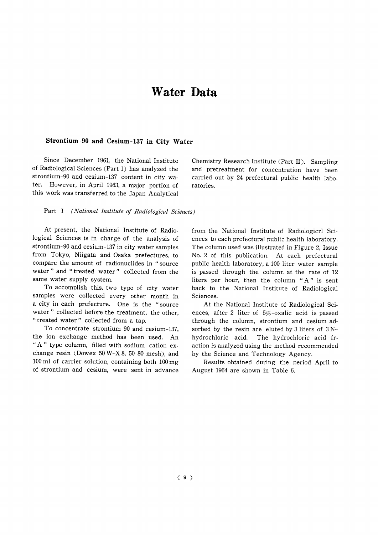# Water Data

#### Strontium-90 and Cesium-137 in City Water

Since December 1961, the National Institute of Radiological Sciences (Part 1) has analyzed the strontium-90 and cesium-137 content in city water. However, in April 1963, a major portion of this work was transferred to the Japan Analytical

Chemistry Research Institute (Part II). Sampling and pretreatment for concentration have been carried out by 24 prefectural public health laboratories.

Part I (National Institute of Radiological Sciences)

At present, the National Institute of Radiological Sciences is in charge of the analysis of strontium-90 and cesium-137 in city water samples from Tokyo, Niigata and Osaka prefectures, to compare the amount of radionuclides in "source water" and "treated water" collected from the same water supply system.

To accomplish this, two type of city water samples were collected every other month in a city in each prefecture. One is the "source water" collected before the treatment, the other, "treated water" collected from a tap.

To concentrate strontium-90 and cesium-137. the ion exchange method has been used. An "A" type column, filled with sodium cation exchange resin (Dowex 50 W-X 8, 50-80 mesh), and 100 ml of carrier solution, containing both 100 mg of strontium and cesium, were sent in advance from the National Institute of Radiologicrl Sciences to each prefectural public health laboratory. The column used was illustrated in Figure 2, Issue No. 2 of this publication. At each prefectural public health laboratory, a 100 liter water sample is passed through the column at the rate of 12 liters per hour, then the column "A" is sent back to the National Institute of Radiological Sciences.

At the National Institute of Radiological Sciences, after 2 liter of 5%-oxalic acid is passed through the column, strontium and cesium adsorbed by the resin are eluted by 3 liters of  $3N$ hydrochloric acid. The hydrochloric acid fraction is analyzed using the method recommended by the Science and Technology Agency.

Results obtained during the period April to August 1964 are shown in Table 6.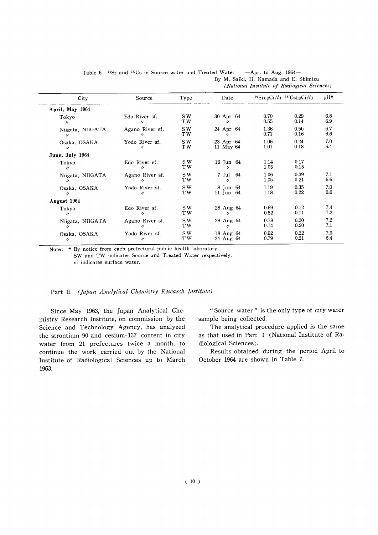|                   |                                 |      | (National Institute of Radiogical Sciences) |                                  |      |       |  |  |
|-------------------|---------------------------------|------|---------------------------------------------|----------------------------------|------|-------|--|--|
| City              | Source                          | Type | Date                                        | $^{90}Sr(pCi/l)^{-137}Cs(pCi/l)$ |      | $pH*$ |  |  |
| April, May 1964   |                                 |      |                                             |                                  |      |       |  |  |
| Tokyo             | Edo River sf.                   | SW.  | 30 Apr 64                                   | 0.70                             | 0.29 | 6.8   |  |  |
| $\prime\prime$    | $^{\prime\prime}$               | TW.  | $\mathcal{U}$                               | 0.55                             | 0.14 | 6.9   |  |  |
| Niigata, NIIGATA  | Agano River sf.                 | SW.  | 24 Apr 64                                   | 1.36                             | 0.50 | 6.7   |  |  |
| $^{\prime\prime}$ | $\prime\prime$                  | TW.  | $\mathcal{U}$                               | 0.71                             | 0.16 | 6.6   |  |  |
| Osaka, OSAKA      | Yodo River sf.                  | S W  | 23 Apr 64                                   | 1.06                             | 0.24 | 7.0   |  |  |
| $\eta$ .          | $\overline{B}$                  | TW - | 11 May 64                                   | 1.01                             | 0.18 | 6.4   |  |  |
| June, July 1964   |                                 |      |                                             |                                  |      |       |  |  |
| Tokyo             | Edo River sf.                   | SW.  | 16 Jun 64                                   | 1.14                             | 0.17 |       |  |  |
| $^{\prime\prime}$ | $\prime\prime$                  | TW.  | $\mathcal{U}=\mathcal{U}$                   | 1.05                             | 0.15 |       |  |  |
| Niigata, NIIGATA  | Agano River sf.                 | SW.  | 7 Jul 64                                    | 1.06                             | 0.39 | 7.1   |  |  |
| $\prime$          | $\frac{1}{2}$                   | TW.  | $\mathcal{U}$                               | 1.05                             | 0.21 | 6.6   |  |  |
| Osaka, OSAKA      | Yodo River sf.                  | S W  | 8 Jun 64                                    | 1.19                             | 0.35 | 7.0   |  |  |
| $\prime\prime$    | $^{\prime\prime}$               | TW - | 11 Jun 64                                   | 1.18                             | 0.22 | 6.6   |  |  |
| August 1964       |                                 |      |                                             |                                  |      |       |  |  |
| Tokyo             | Edo River sf.                   | SW.  | 28 Aug 64                                   | 0.69                             | 0.12 | 7.4   |  |  |
| $^{\prime\prime}$ | $^{\prime\prime}$               | TW.  | $\mathcal{U}$                               | 0.52                             | 0.11 | 7.2   |  |  |
| Niigata, NIIGATA  | Agano River sf.                 | SW.  | 28 Aug 64                                   | 0.78                             | 0.30 | 7.2   |  |  |
| $^{\prime\prime}$ | $\mathcal{U}$ and $\mathcal{U}$ | TW.  | $\mathcal{U}=\mathcal{U}$                   | 0.74                             | 0.20 | 7.1   |  |  |
| Osaka, OSAKA      | Yodo River sf.                  | SW   | 18 Aug 64                                   | 0.92                             | 0.22 | 7.0   |  |  |
| $^{\prime\prime}$ | $^{\prime\prime}$               | TW.  | 24 Aug 64                                   | 0.79                             | 0.21 | 6.4   |  |  |

Table 6.  $^{90}$ Sr and <sup>137</sup>Cs in Source water and Treated Water -Apr. to Aug. 1964-By M. Saiki, H. Kamada and E. Shimizu (Mational Institute of Dadiomical Sciences)

Note:  $*$  By notice from each prefectural public health laboratory

SW and TW indicates Source and Treated Water respectively. sfindicates surface water.

#### Part II (Japan Analytical Chemistry Research Institute)

Since May 1963, the Japan Analytical Chemistry Research Institute, on commission by the Science and Technology Agency, has analyzed the strontium-90 and cesium-137 content in city water from 21 prefectures twice a month, to continue the work carried out by the National Institute of Radiological Sciences up to March 1963.

"Source water" is the only type of city water sample being collected.

The analytical procedure applied is the same as that used in Part I (National Institute of Radiological Sciences).

Results obtained during the period April to October 1964 are shown in Table 7.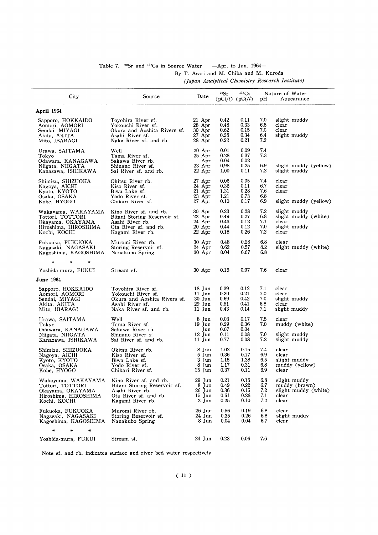#### Table 7.  $^{90}$ Sr and <sup>137</sup>Cs in Source Water -Apr. to Jun. 1964-By T. Asari and M. Chiba and M. Kuroda (Japan Analytical Chemistry Research Institute)

 $\overline{a}$ 

|                                          |                                                 |                    | 90Sr         | $137C_S$            |            | Nature of Water                       |
|------------------------------------------|-------------------------------------------------|--------------------|--------------|---------------------|------------|---------------------------------------|
| City                                     | Source                                          | Date               |              | $(pCi/l)$ $(pCi/l)$ | pH         | Appearance                            |
| April 1964                               |                                                 |                    |              |                     |            |                                       |
| Sapporo, HOKKAIDO                        | Toyohira River sf.                              | 21 Apr             | 0.42         | 0.11                | 7.0        | slight muddy                          |
| Aomori, AOMORI                           | Yokouchi River sf.                              | 28 Apr<br>30 Apr   | 0.48<br>0.62 | 0.33<br>0.15        | 6.8<br>7.0 | clear<br>clear                        |
| Sendai, MIYAGI<br>Akita, AKITA           | Okura and Aoshita Rivers sf.<br>Asahi River sf. | 27 Apr             | 0.28         | 0.34                | 6.4        | slight muddy                          |
| Mito, IBARAGI                            | Naka River sf. and rb.                          | 28 Apr             | 0.22         | 0.21                | 7.2        |                                       |
| Urawa, SAITAMA                           | Well                                            | 20 Apr             | 0.01         | 0.09                | 7.4        |                                       |
| Tokvo                                    | Tama River sf.                                  | 25 Apr             | 0.28<br>0.04 | 0.37<br>0.02        | 7.3        |                                       |
| Odawara, KANAGAWA<br>Niigata, NIIGATA    | Sakawa River rb.<br>Shinano River sf.           | Apr<br>23 Apr      | 0.98         | 0.25                | 6.9        | slight muddy (yellow)                 |
| Kanazawa, ISHIKAWA                       | Sai River sf. and rb.                           | 22 Apr             | $1.00\,$     | 0.11                | 7.2        | slight muddy                          |
| Shimizu, SHIZUOKA                        | Okitsu River rb.                                | 27 Apr             | 0.06         | 0.05                | 7.4        | clear                                 |
| Nagoya, AICHI<br>Kyoto, KYOTO            | Kiso River sf.<br>Biwa Lake sf.                 | 24 Apr<br>21 Apr   | 0.36<br>1.31 | 0.11<br>0.28        | 6.7<br>7.6 | clear<br>clear                        |
| Osaka, OSAKA                             | Yodo River sf.                                  | 23 Apr             | 1.21         | 0.73                | 6.8        |                                       |
| Kobe, HYOGO                              | Chikari River sf.                               | 27 Apr             | 0.10         | 0.17                | 6.9        | slight muddy (yellow)                 |
| Wakayama, WAKAYAMA                       | Kino River sf. and rb.                          | 30 Apr             | 0.23         | 0.28                | 7.2        | slight muddy                          |
| Tottori, TOTTORI                         | Bitani Storing Reservoir sf.                    | 23 Apr             | 0.49         | 0.27                | 6.8        | slight muddy (white)                  |
| Okayama, OKAYAMA<br>Hiroshima, HIROSHIMA | Asahi River rb.<br>Ota River sf. and rb.        | 24 Apr<br>$20$ Apr | 0.43<br>0.44 | 0.12<br>0.12        | 7.1<br>7.0 | clear<br>slight muddy                 |
| Kochi, KOCHI                             | Kagami River rb.                                | 22 Apr             | 0.18         | 0.26                | 7.2        | clear                                 |
| Fukuoka, FUKUOKA                         | Muromi River rb.                                | 30 Apr             | 0.48         | 0.28                | 6.8        | clear                                 |
| Nagasaki, NAGASAKI                       | Storing Reservoir sf.                           | 24 Apr             | 0.62         | 0.57                | 8.2        | slight muddy (white)                  |
| Kagoshima, KAGOSHIMA                     | Nanakubo Spring                                 | 30 Apr             | 0.04         | 0.07                | 6.8        |                                       |
| Yoshida-mura, FUKUI                      | Stream sf.                                      | 30 Apr             | 0.15         | 0.07                | 7.6        | clear                                 |
| <b>June 1964</b>                         |                                                 |                    |              |                     |            |                                       |
|                                          |                                                 |                    |              |                     |            |                                       |
| Sapporo, HOKKAIDO<br>Aomori, AOMORI      | Toyohira River sf.<br>Yokouchi River sf.        | 18 Jun<br>11 Jun   | 0.39<br>0.20 | 0.12<br>0.21        | 7.1<br>7.0 | clear<br>clear                        |
| Sendai, MIYAGI                           | Okura and Aoshita Rivers sf.                    | 30 Jun             | 0.69         | 0.42                | 7.0        | slight muddy                          |
| Akita, AKITA                             | Asahi River sf.                                 | 29 Jun             | 0.51         | 0.41                | 6.8        | clear                                 |
| Mito, IBARAGI                            | Naka River sf. and rb.                          | 11 Jun             | 0.43         | 0.14                | 7.1        | slight muddy                          |
| Urawa, SAITAMA                           | Well                                            | 8 Jun              | 0.03         | 0.17                | 7.5        | clear                                 |
| Tokyo<br>Odawara, KANAGAWA               | Tama River sf.<br>Sakawa River rb.              | $19$ Jun<br>Jun    | 0.29<br>0.07 | 0.06<br>0.04        | 7.0        | muddy (white)                         |
| Niigata, NIIGATA                         | Shinano River sf.                               | 12 Jun             | 0.11         | 0.08                | 7.0        | slight muddy                          |
| Kanazawa, ISHIKAWA                       | Sai River sf. and rb.                           | 11 Jun             | 0.77         | 0.08                | 7.2        | slight muddy                          |
| Shimizu, SHIZUOKA                        | Okitsu River rb.                                | 8 Jun              | 1.02         | 0.15                | 7.4        | clear                                 |
| Nagoya, AICHI                            | Kiso River sf.                                  | 5 Jun              | 0.36         | 0.17                | 6.9<br>6.5 | clear<br>slight muddy                 |
| Kyoto, KYOTO<br>Osaka, OSAKA             | Biwa Lake sf.<br>Yodo River sf.                 | 3 Jun<br>8 Jun     | 1.15<br>1.17 | 1.38<br>0.31        | 6.8        | muddy (yellow)                        |
| Kobe, HYOGO                              | Chikari River sf.                               | 15 Jun             | 0.37         | 0.11                | 6.9        | clear                                 |
| Wakayama, WAKAYAMA                       | Kino River sf. and rb.                          | 29 Jun             | 0.21         | 0.15                | 6.8        | slight muddy                          |
| Tottori, TOTTORI                         | Bitani Storing Reservoir sf.                    | 8 Jun<br>26 Jun    | 0.49<br>0.36 | 0.22<br>0.15        | 6.7<br>7.2 | muddy (brawn)<br>slight muddy (white) |
| Okayama, OKAYAMA<br>Hiroshima, HIROSHIMA | Asahi River rb.<br>Ota River sf. and rb.        | 15 Jun             | 0.61         | 0.26                | 7.1        | clear                                 |
| Kochi, KOCHI                             | Kagami River rb.                                | 2 Jun              | 0.25         | 0.10                | 7.2        | clear                                 |
| Fukuoka, FUKUOKA                         | Muromi River rb.                                | 26 Jun             | 0.56         | 0.19                | 6.8        | clear                                 |
| Nagasaki, NAGASAKI                       | Storing Reservoir sf.                           | 24 Jun             | 0.35         | $0.26\,$            | 6.8        | slight muddy                          |
| Kagoshima, KAGOSHIMA                     | Nanakubo Spring                                 | 8 Jun              | 0.04         | 0.04                | 6.7        | clear                                 |
| ∗<br>$\star$<br>$\ast$                   |                                                 |                    |              |                     |            |                                       |
| Yoshida-mura, FUKUI                      | Stream sf.                                      | 24 Jun             | 0.23         | 0.06                | 7.6        |                                       |

Note sf. and rb. indicates surface and river bed water respectively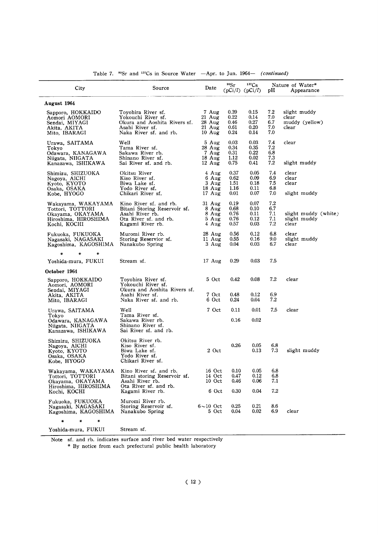| City                                                                                               | Source                                                                                                                 | Date                                                          | 90Sr                                 | 137 <sub>Cs</sub><br>$(pCi/l)$ $(pCi/l)$ | pH                              | Nature of Water*<br>Appearance                   |
|----------------------------------------------------------------------------------------------------|------------------------------------------------------------------------------------------------------------------------|---------------------------------------------------------------|--------------------------------------|------------------------------------------|---------------------------------|--------------------------------------------------|
| August 1964                                                                                        |                                                                                                                        |                                                               |                                      |                                          |                                 |                                                  |
| Sapporo, HOKKAIDO<br>Aomori AOMORI<br>Sendai, MIYAGI<br>Akita, AKITA<br>Mito, IBARAGI              | Toyohira River sf.<br>Yokouchi River sf.<br>Okura and Aoshita Rivers sf.<br>Asahi River sf.<br>Naka River sf. and rb.  | 7 Aug<br>$21$ Aug<br>$28$ Aug<br>$21$ Aug<br>$10 \text{ Aug}$ | 0.39<br>0.22<br>0.46<br>0.61<br>0.24 | 0.15<br>0.14<br>0.27<br>0.20<br>0.14     | 7.2<br>7.0<br>6.7<br>7.0<br>7.0 | slight muddy<br>clear<br>muddy (yellow)<br>clear |
| Urawa, SAITAMA<br>Tokyo<br>Odawara, KANAGAWA<br>Niigata, NIIGATA<br>Kanazawa, ISHIKAWA             | Well<br>Tama River sf.<br>Sakawa River rb.<br>Shinano River sf.<br>Sai River sf. and rb.                               | 5 Aug<br>28 Aug<br>7 Aug<br>18 Aug<br>$12 \text{ Aug}$        | 0.03<br>0.34<br>0.31<br>1.12<br>0.75 | 0.03<br>0.35<br>0.22<br>0.02<br>0.41     | 7.4<br>7.2<br>6.8<br>7.3<br>7.2 | clear<br>slight muddy                            |
| Shimizu, SHIZUOKA<br>Nagoya, AICHI<br>Kyoto, KYOTO<br>Osaka, OSAKA<br>Kobe, HYOGO                  | Okitsu River<br>Kiso River sf.<br>Biwa Lake sf.<br>Yodo River sf.<br>Chikari River sf.                                 | 4 Aug<br>6 Aug<br>3 Aug<br>$18$ Aug<br>17 Aug                 | 0.37<br>0.62<br>1.51<br>1.16<br>0.01 | 0.05<br>0.09<br>0.18<br>0.11<br>0.07     | 7.4<br>6.9<br>7.5<br>6.8<br>7.0 | clear<br>clear<br>clear<br>slight muddy          |
| Wakayama, WAKAYAMA<br>Tottori, TOTTORI<br>Okayama, OKAYAMA<br>Hiroshima, HIROSHIMA<br>Kochi, KOCHI | Kino River sf. and rb.<br>Bitani Storing Reservoir sf.<br>Asahi River rb.<br>Ota River sf. and rb.<br>Kagami River rb. | $31$ Aug<br>8 Aug<br>8 Aug<br>5 Aug<br>4 Aug                  | 0.19<br>0.68<br>0.76<br>0.76<br>0.57 | 0.07<br>0.10<br>0.11<br>0.12<br>0.03     | 7.2<br>6.7<br>7.1<br>7.1<br>7.2 | slight muddy (white)<br>slight muddy<br>clear    |
| Fukuoka, FUKUOKA<br>Nagasaki, NAGASAKI<br>Kagoshima, KAGOSHIMA                                     | Muromi River rb.<br>Storing Reservior sf.<br>Nanakubo Spring                                                           | 28 Aug<br>11 Aug<br>3 Aug                                     | 0.56<br>0.55<br>0.04                 | 0.12<br>0.16<br>0.03                     | 6.8<br>9.0<br>6.7               | clear<br>slight muddy<br>clear                   |
|                                                                                                    |                                                                                                                        |                                                               |                                      |                                          |                                 |                                                  |
| Yoshida-mura, FUKUI                                                                                | Stream sf.                                                                                                             | 17 Aug                                                        | 0.29                                 | 0.03                                     | 7.5                             |                                                  |
| October 1964<br>Sapporo, HOKKAIDO<br>Aomori, AOMORI                                                | Toyohira River sf.<br>Yokouchi River sf.                                                                               | 5 Oct                                                         | 0.42                                 | 0.08                                     | 7.2                             | clear                                            |
| Sendai, MIYAGI<br>Akita, AKITA<br>Mito, IBARAGI                                                    | Okura and Aoshita Rivers sf.<br>Asahi River sf.<br>Naka River sf. and rb.                                              | 7 Oct<br>6 Oct                                                | 0.48<br>0.24                         | 0.12<br>0.04                             | 6.9<br>7.2                      |                                                  |
| Urawa, SAITAMA                                                                                     | Well<br>Tama River sf.                                                                                                 | 7 Oct                                                         | 0.11                                 | 0.01                                     | 7.5                             | clear                                            |
| Tokyo<br>Odawara, KANAGAWA<br>Niigata, NIIGATA<br>Kanazawa, ISHIKAWA                               | Sakawa River rb.<br>Shinano River sf.<br>Sai River sf. and rb.                                                         |                                                               | 0.16                                 | 0.02                                     |                                 |                                                  |
| Shimizu, SHIZUOKA<br>Nagoya, AICHI<br>Kyoto, KYOTO<br>Osaka, OSAKA<br>Kobe, HYOGO                  | Okitsu River rb.<br>Kiso River sf.<br>Biwa Lake sf.<br>Yodo River sf.<br>Chikari River sf.                             | 2 Oct                                                         | 0.26                                 | 0.05<br>0.13                             | 6.8<br>7.3                      | slight muddy                                     |
| Wakayama, WAKAYAMA<br>Tottori, TOTTORI<br>Okavama, OKAYAMA                                         | Kino River sf. and rb.<br>Bitani storing Reservoir sf.<br>Asahi River rb.                                              | 16 Oct<br>14 Oct<br>10 Oct                                    | $0.10\,$<br>0.47<br>0.46             | 0.05<br>0.12<br>0.06                     | 6.8<br>6.8<br>7.1               |                                                  |
| Hiroshima, HIROSHIMA<br>Kochi, KOCHI                                                               | Ota River sf. and rb.<br>Kagami River rb.                                                                              | 6 Oct                                                         | 0.30                                 | 0.04                                     | 7.2                             |                                                  |
| Fukuoka, FUKUOKA<br>Nagasaki, NAGASAKI<br>Kagoshima, KAGOSHIMA                                     | Muromi River rb.<br>Storing Reservoir sf.<br>Nanakubo Spring                                                           | $6 - 10$ Oct<br>5 Oct                                         | 0.25<br>0.04                         | 0.21<br>$0.02\,$                         | 8.6<br>6.9                      | clear                                            |
| ₩<br>₩<br>$\ast$                                                                                   |                                                                                                                        |                                                               |                                      |                                          |                                 |                                                  |
| Yoshida-mura, FUKUI                                                                                | Stream sf.                                                                                                             |                                                               |                                      |                                          |                                 |                                                  |

Table 7.  $\text{90Sr}$  and  $\text{137Cs}$  in Source Water  $-Apr$ . to Jun. 1964-(continued)

Note sf. and rb. indicates surface and river bed water respectively

\* By notice from each prefectural public health laboratory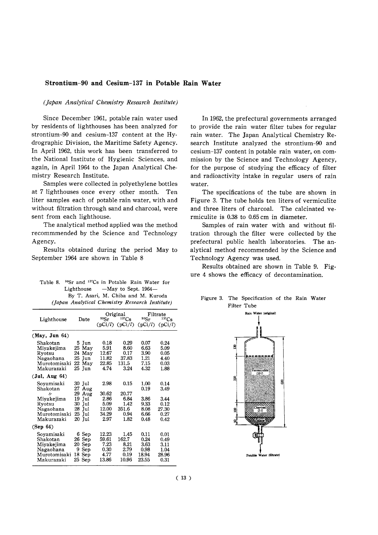#### Strontium-90 and Cesium-137 in Potable Rain Water

#### (Japan Analytical Chemistry Research Institute)

Since December 1961, potable rain water used by residents of lighthouses has been analyzed for strontium-90 and cesium-137 content at the Hydrographic Division, the Maritime Safety Agency. In April 1962, this work has been transferred to the National Institute of Hygienic Sciences, and again, in April 1964 to the Japan Analytical Chemistry Research Institute.

Samples were collected in polyethylene bottles at 7 lighthouses once every other month. Ten liter samples each of potable rain water, with and without filtration through sand and charcoal, were sent from each lighthouse.

The analytical method applied was the method recommmended by the Science and Technology Agency.

Results obtained during the period May to September 1964 are shown in Table 8

| Table 8. | <sup>90</sup> Sr and <sup>137</sup> Cs in Potable Rain Water for |                                     |  |
|----------|------------------------------------------------------------------|-------------------------------------|--|
|          | Lighthouse $-Mav$ to Sept. 1964-                                 |                                     |  |
|          |                                                                  | By T. Asari, M. Chiba and M. Kuroda |  |
|          | (Japan Analytical Chemistry Research Institute)                  |                                     |  |

|                                                                                 |                                                                         |                                                 | Original                                       |                                                | Filtrate                                      |
|---------------------------------------------------------------------------------|-------------------------------------------------------------------------|-------------------------------------------------|------------------------------------------------|------------------------------------------------|-----------------------------------------------|
| Lighthouse                                                                      | Date                                                                    | 90 <sub>ST</sub>                                | $137C_S$                                       | 90Sr                                           | $137C_S$                                      |
|                                                                                 |                                                                         |                                                 | $(pCi/l)$ $(pCi/l)$                            | (pCi/l)                                        | (DCi/l)                                       |
| (May, Jun 64)                                                                   |                                                                         |                                                 |                                                |                                                |                                               |
| Shakotan<br>Miyakejima<br>Rvotsu<br>Nagaohana<br>Murotomisaki<br>Makurazaki     | 5 Jun<br>25<br>May<br>May<br>24<br>25<br>Jun<br>May<br>22<br>25 Jun     | 0.18<br>5.91<br>12.67<br>11.82<br>22.85<br>4.74 | 0.29<br>8.60<br>0.17<br>37.83<br>131.5<br>3.24 | 0.07<br>6.63<br>3.90<br>1.21<br>7.15<br>4.32   | 0.24<br>5.09<br>0.05<br>4.40<br>0.03<br>1.88  |
| (Jul, Aug 64)                                                                   |                                                                         |                                                 |                                                |                                                |                                               |
| Soyamisaki<br>Shakotan                                                          | 30 Jul<br>27<br>Aug                                                     | 2.98                                            | 0.15                                           | 1.00<br>0.19                                   | 0.14<br>3.49                                  |
| "<br>Miyakejima<br>Ryotsu<br>Nagaohana<br>Murotomisaki<br>Makurazaki            | 29<br>Aug<br>19<br>Jul<br>30<br>Jul<br>28<br>Jul<br>25<br>Jul<br>20 Iul | 30.62<br>2.86<br>5.09<br>12.00<br>34.29<br>2.97 | 20.77<br>6.84<br>1.42<br>351.6<br>0.94<br>1.82 | 3.86<br>9.33<br>8.08<br>6.66<br>0.48           | 3.44<br>0.12<br>27.30<br>0.27<br>0.42         |
| (Sep 64)                                                                        |                                                                         |                                                 |                                                |                                                |                                               |
| Soyamisaki<br>Shakotan<br>Miyakejima<br>Nagaohana<br>Murotomisaki<br>Makurazaki | 6 Sep<br>26<br>Sep<br>Sep<br>20<br>9<br>Sep<br>18<br>Sep<br>25 Sep      | 12.23<br>59.61<br>7.23<br>0.30<br>4.77<br>13.86 | 1.45<br>162.7<br>8.21<br>2.79<br>0.19<br>10.96 | 0.11<br>0.24<br>3.63<br>0.98<br>18.94<br>23.55 | 0.01<br>0.49<br>3.11<br>1.04<br>28.96<br>0.31 |

In 1962, the prefectural governments arranged to provide the rain water filter tubes for regular rain water. The Japan Analytical Chemistry Research Institute analyzed the strontium-90 and cesium-137 content in potable rain water, on commission by the Science and Technology Agency, for the purpose of studying the efficacy of filter and radioactivity intake in regular users of rain water.

The specifications of the tube are shown in Figure 3. The tube holds ten liters of vermiculite and three liters of charcoal. The calcinated vermiculite is 0.38 to 0.65 cm in diameter.

Samples of rain water with and without filtration through the filter were collected by the prefectural public health laboratories. The analytical method recommended by the Science and Technology Agency was used.

Results obtained are shown in Table 9. Figure 4 shows the efficacy of decontamination.



#### Figure 3. The Specification of the Rain Water Filter Tube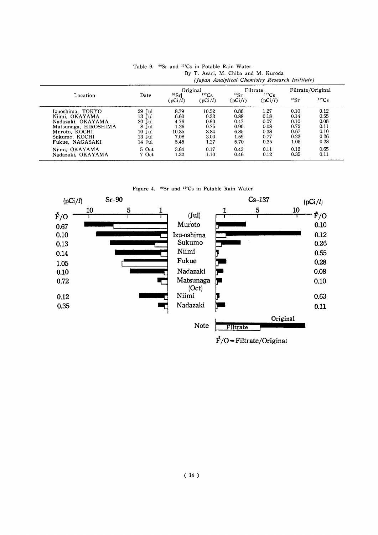|                      |        | Original            |                              | Filtrate        |                  | Filtrate/Original |          |
|----------------------|--------|---------------------|------------------------------|-----------------|------------------|-------------------|----------|
| Location             | Date   | $90$ Srl<br>(pCi/l) | 137 <sub>Cs</sub><br>(pCi/l) | 90Sr<br>(pCi/l) | 137Cs<br>(pCi/l) | 90Sr              | $137C_S$ |
| Izuoshima, TOKYO     | 29 Jul | 8.79                | 10.52                        | 0.86            | 1.27             | 0.10              | 0.12     |
| Niimi. OKAYAMA       | 13 Jul | 6.60                | 0.33                         | 0.88            | 0.18             | 0.14              | 0.55     |
| Nadazaki. OKAYAMA    | 20 Jul | 4.76                | 0.90                         | 0.47            | 0.07             | 0.10              | 0.08     |
| Matsunaga, HIROSHIMA | 8 Jul  | 1.26                | 0.75                         | 0.90            | 0.08             | 0.72              | 0.11     |
| Muroto, KOCHI        | 10 Jul | 10.35               | 3.84                         | 6.85            | 0.38             | 0.67              | 0.10     |
| Sukumo, KOCHI        | 13 Jul | 7.08                | 3.00                         | 1.59            | 0.77             | 0.23              | 0.26     |
| Fukue, NAGASAKI      | 14 Jul | 5.45                | 1.27                         | 5.70            | 0.35             | 1.05              | 0.28     |
| Niimi. OKAYAMA       | 5 Oct  | 3.64                | 0.17                         | 0.43            | 0.11             | 0.12              | 0.65     |
| Nadazaki, OKAYAMA    | 7 Oct  | 1.32                | 1.10                         | 0.46            | 0.12             | 0.35              | 0.11     |

Table 9. <sup>90</sup>Sr and <sup>137</sup>Cs in Potable Rain Water By T. Asari, M. Chiba and M. Kuroda<br>(*Iaban Analytical Chemistry Resear*)  $T_{\text{model}}(t)$  $D$ osoarch

Figure 4. <sup>90</sup>Sr and <sup>137</sup>Cs in Potable Rain Water

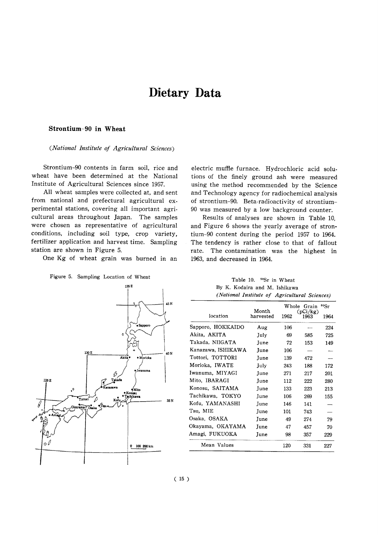# Dietary Data

#### Strontium-90 in Wheat

(National Institute of Agricultural Sciences)

Strontium-90 contents in farm soil, rice and wheat have been determined at the National Institute of Agricultural Sciences since 1957.

All wheat samples were collected at, and sent from national and prefectural agricultural experimental stations, covering all important agricultural areas throughout Japan. The samples were chosen as representative of agricultural conditions, including soil type, crop variety, fertilizer application and harvest time. Sampling station are shown in Figure 5.

One Kg of wheat grain was burned in an

Figure 5. Sampling Location of Wheat



electric muffle furnace. Hydrochloric acid solutions of the finely ground ash were measured using the method recommended by the Science and Technology agency for radiochemical analysis of strontium-90. Beta-radioactivity of strontium-90 was measured by a low background counter.

Results of analyses are shown in Table 10, and Figure 6 shows the yearly average of strontium-90 content during the period 1957 to 1964. The tendency is rather close to that of fallout rate. The contamination was the highest in 1963, and decreased in 1964.

| (National Institute of Agricultural Sciences) |             |      |                  |      |  |  |  |  |
|-----------------------------------------------|-------------|------|------------------|------|--|--|--|--|
|                                               | Month       |      | Whole Grain      | 90Sr |  |  |  |  |
| location                                      | harvested   | 1962 | (pCi/kg)<br>1963 | 1964 |  |  |  |  |
| Sapporo, HOKKAIDO                             | Aug         | 106  |                  | 224  |  |  |  |  |
| Akita, AKITA                                  | July        | 69   | 585              | 725  |  |  |  |  |
| Takada. NIIGATA                               | June        | 72   | 153              | 149  |  |  |  |  |
| Kanazawa, ISHIKAWA                            | June        | 106  |                  |      |  |  |  |  |
| Tottori, TOTTORI                              | June        | 139  | 472              |      |  |  |  |  |
| Morioka, IWATE                                | July        | 243  | 188              | 172  |  |  |  |  |
| Iwanuma, MIYAGI                               | June        | 271  | 217              | 201  |  |  |  |  |
| Mito, IBARAGI                                 | June        | 112  | 222              | 280  |  |  |  |  |
| Konosu, SAITAMA                               | <b>Iune</b> | 133  | 223              | 213  |  |  |  |  |
| Tachikawa, TOKYO                              | June        | 106  | 269              | 155  |  |  |  |  |
| Kofu, YAMANASHI                               | June        | 146  | 141              |      |  |  |  |  |
| Tsu, MIE                                      | June        | 101  | 743              |      |  |  |  |  |
| Osaka, OSAKA                                  | June        | 49   | 274              | 79   |  |  |  |  |
| Okayama, OKAYAMA                              | June        | 47   | 457              | 70   |  |  |  |  |
| Amagi, FUKUOKA                                | June        | 98   | 357              | 229  |  |  |  |  |
| Mean Values                                   |             | 120  | 331              | 227  |  |  |  |  |

Table 10. 90Sr in Wheat By K. Kodaira and M. Ishikawa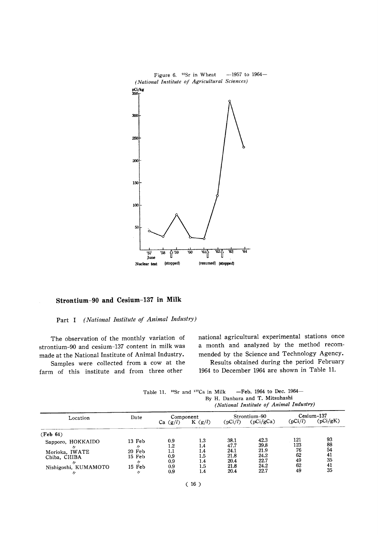

#### Strontium-90 and Cesium-137 in Milk

#### Part I (National Institute of Animal Industry)

The observation of the monthly variation of strontium-90 and cesium-137 content in milk was made at the National Institute of Animal Industry.

Samples were collected from a cow at the farm of this institute and from three other

national agricultural experimental stations once a month and analyzed by the method recommended by the Science and Technology Agency.

Results obtained during the period February 1964 to December 1964 are shown in Table 11.

| Location             | Date              | Component  |           | Strontium-90 |           | $C$ esium $-137$ |          |
|----------------------|-------------------|------------|-----------|--------------|-----------|------------------|----------|
|                      |                   | Ca $(g/l)$ | K $(g/l)$ | (pCi/l)      | (pCi/gCa) | (pCi/l)          | (pCi/gK) |
| (Feb 64)             |                   |            |           |              |           |                  |          |
| Sapporo, HOKKAIDO    | 13 Feb            | 0.9        | $1.3\,$   | 38.1         | 42.3      | 121              | 93       |
|                      | "                 | 1.2        | 1.4       | 47.7         | 39.8      | 123              | 88       |
| Morioka, IWATE       | $20$ Feb          | 1.1        | 1.4       | 24.1         | 21.9      | 76               | 54       |
| Chiba, CHIBA         | 15 Feb            | 0.9        | 1.5       | 21.8         | 24.2      | 62               | 41       |
| $^{\prime\prime}$    | $^{\prime\prime}$ | 0.9        | 1.4       | 20.4         | 22.7      | 49               | 35       |
| Nishigoshi, KUMAMOTO | 15 Feb            | 0.9        | 1.5       | 21.8         | 24.2      | 62               | 41       |
| "                    | ŋ                 | 0.9        | 1.4       | 20.4         | 22.7      | 49               | 35       |

-Feb. 1964 to Dec. 1964-Table 11. <sup>90</sup>Sr and <sup>137</sup>Cs in Milk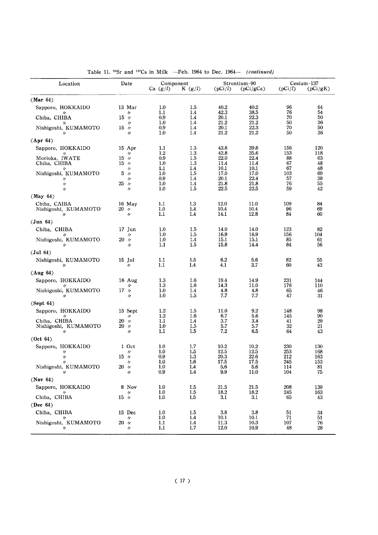| Location                                        | Date                        | Component<br>Ca (g/l) | K $(g/l)$         | (pCi/l)              | Strontium-90<br>(pCi/gCa) | (pCi/l)           | $Cesium-137$<br>(pCi/gK) |
|-------------------------------------------------|-----------------------------|-----------------------|-------------------|----------------------|---------------------------|-------------------|--------------------------|
| (Mar 64)                                        |                             |                       |                   |                      |                           |                   |                          |
| Sapporo, HOKKAIDO                               | 13 Mar<br>11                | 1.0<br>1.1            | 1.5<br>1.4        | 40.2<br>42.3         | 40.2<br>38.5              | 96<br>76          | 64<br>54                 |
| Chiba, CHIBA                                    | $15 \gamma$                 | 0.9                   | 1.4               | 20.1                 | 22.3                      | 70<br>50          | 50<br>36                 |
| Nishigoshi, KUMAMOTO<br>〃                       | 11<br>$15\nu$<br>11         | 1.0<br>0.9<br>1.0     | 1.4<br>1.4<br>1.4 | 21.2<br>20.1<br>21.2 | 21.2<br>22.3<br>21.2      | 70<br>50          | 50<br>36                 |
| (Apr 64)                                        |                             |                       |                   |                      |                           |                   |                          |
| Sapporo, HOKKAIDO                               | 15 Apr                      | 1.1                   | 1.3               | 43.6                 | 39.6                      | 156               | 120                      |
| Morioka, IWATE<br>Chiba, CHIBA                  | 11<br>$15\nu$<br>$15\nu$    | 1.2<br>0.9<br>1.0     | 1.3<br>1.5<br>1.3 | 42.8<br>22.0<br>11.4 | 35.6<br>22.4<br>11.4      | 153<br>88<br>67   | 118<br>63<br>48          |
| Nishigoshi, KUMAMOTO<br>11                      | 11<br>$5\nu$<br>11          | 1.1<br>1.0<br>0.9     | 1.4<br>1.5<br>1.4 | 10.1<br>17.0<br>20.1 | 10.1<br>17.0<br>22.4      | 67<br>103<br>57   | 48<br>69<br>38           |
| 11                                              | 25<br>IJ                    | 1.0<br>1.0            | 1.4<br>1.5        | 21.8<br>22.5         | 21.8                      | 76<br>59          | 55<br>42                 |
| n<br>(May 64)                                   | 11                          |                       |                   |                      | 22.5                      |                   |                          |
| Chiba, CAIBA<br>Nishigoshi, KUMAMOTO            | 16 May<br>$20\not\sim$      | 1.1<br>1.0            | 1.3<br>1.4        | 12.0<br>10.4         | 11.0<br>10.4              | 109<br>96         | 84<br>69                 |
| 〃<br>(Jun 64)                                   | 11                          | 1.1                   | 1.4               | 14.1                 | 12.8                      | 84                | 60                       |
| Chiba, CHIBA                                    | 17 Jun                      | 1.0                   | 1.5               | 14.0                 | 14.0                      | 123               | 82                       |
| IJ                                              | 11<br>$20\nu$               | 1.0<br>1.0            | 1.5<br>1.4        | 16.9<br>15.1         | 16.9                      | 156<br>85         | 104                      |
| Nishigoshi, KUMAMOTO<br>IJ                      | n                           | 1.1                   | 1.5               | 15.8                 | 15.1<br>14.4              | 84                | 61<br>56                 |
| (Jul 64)                                        |                             |                       |                   |                      |                           |                   |                          |
| Nishigoshi, KUMAMOTO<br>IJ                      | 15 Jul<br>$^{\prime\prime}$ | 1.1<br>1.1            | $1.5\,$<br>1.4    | 6.2<br>4.1           | 5.6<br>3.7                | 82<br>60          | 55<br>43                 |
| (Aug 64)                                        |                             |                       |                   |                      |                           |                   |                          |
| Sapporo, HOKKAIDO<br>IJ                         | $16 \text{ Aug}$<br>11      | 1.3<br>1.3            | 1.6<br>1.6        | 19.4<br>14.3         | 14.9<br>11.0              | 231<br>176        | 144<br>110               |
| Nishigoshi, KUMAMOTO<br>IJ                      | $17\nu$<br>11               | 1.0<br>1.0            | 1.4<br>1.5        | 4.8<br>7.7           | 4.8<br>7.7                | 65<br>47          | 46<br>31                 |
| (Sept 64)                                       |                             |                       |                   |                      |                           |                   |                          |
| Sapporo, HOKKAIDO<br>"                          | 15 Sept<br>IJ               | 1.2<br>1.2            | 1.5<br>1.6        | 11.0<br>6.7          | 9.2<br>5.6                | 148<br>145        | 98<br>90                 |
| Chiba, CHIBA<br>Nishigoshi, KUMAMOTO            | 20, n<br>$20\n$ $\n$        | 1.1<br>1.0            | 1.4<br>1.5        | 3.7<br>5.7           | 3.4<br>5.7                | 41<br>32          | 29<br>21                 |
| $^{\prime\prime}$                               | 11                          | 1.1                   | 1.5               | 7.2                  | 6.5                       | 64                | 43                       |
| (Oct 64)                                        |                             |                       |                   |                      |                           |                   |                          |
| Sapporo, HOKKAIDO<br>"                          | 1 Oct<br>11                 | 1.0<br>1.0            | 1.7<br>1.5        | 10.2<br>12.5         | 10.2<br>12.5              | 230<br>253        | 130<br>168               |
| $\prime$                                        | $15\nu$                     | 0.9                   | 1.3               | 20.3                 | 22.6                      | 212               | 163                      |
| IJ<br>Nishigoshi, KUMAMOTO<br>$^{\prime\prime}$ | n<br>$20\nu$<br>$\prime$    | 1.0<br>1.0<br>0.9     | 1.6<br>1.4<br>1.4 | 17.5<br>5.6<br>9.9   | 17.5<br>5.6<br>11.0       | 245<br>114<br>104 | 153<br>81<br>75          |
| (Nov 64)                                        |                             |                       |                   |                      |                           |                   |                          |
| Sapporo, HOKKAIDO                               | 8 Nov                       | $1.0\,$               | 1.5               | 21.5                 | 21.5                      | 208               | 139                      |
| Chiba, CHIBA                                    | n<br>$15\nu$                | 1.0<br>1.0            | 1.5<br>1.5        | 18.2<br>3.1          | 18.2<br>3.1               | 245<br>65         | 163<br>43                |
| (Dec $64$ )                                     |                             |                       |                   |                      |                           |                   |                          |
| Chiba, CHIBA<br>IJ                              | 15 Dec<br>n                 | 1.0<br>1.0            | 1.5<br>1.4        | 3.8<br>10.1          | 3.8<br>10.1               | 51<br>71          | 34<br>51                 |
| Nishigoshi, KUMAMOTO<br>IJ                      | $20\nu$<br>11               | 1.1<br>1.1            | 1.4<br>1.7        | 11.3<br>12.0         | 10.3<br>10.9              | 107<br>48         | 76<br>28                 |

Table 11.  $^{90}Sr$  and  $^{137}Cs$  in Milk -Feb. 1964 to Dec. 1964- (continued)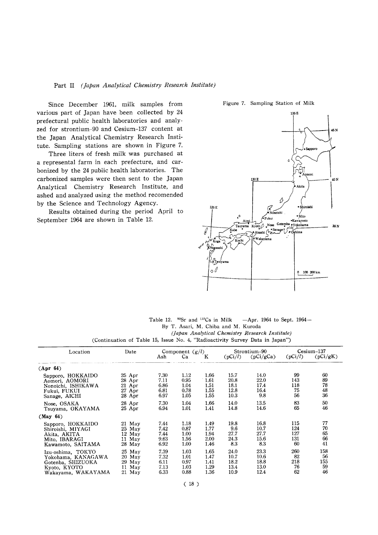#### Part II (Japan Analytical Chemistry Research Institute)

Since December 1961, milk samples from various part of Japan have been collected by 24 prefectural public health laboratories and analyzed for strontium-90 and Cesium-137 content at the Japan Analytical Chemistry Research Institute. Sampling stations are shown in Figure 7.

Three liters of fresh milk was purchased at a represental farm in each prefecture, and carbonized by the 24 public health laboratories. The carbonized samples were then sent to the Japan Analytical Chemistry Research Institute, and ashed and analyzed using the method recomended by the Science and Technology Agency.

Results obtained during the period April to September 1964 are shown in Table 12.

Figure 7. Sampling Station of Milk



Table 12. <sup>90</sup>Sr and <sup>137</sup>Cs in Milk  $-Apr.$  1964 to Sept. 1964 $-$ By T. Asari, M. Chiba and M. Kuroda (Japan Analytical Chemistry Research Institute) (Continuation of Table 15, Issue No. 4, "Radioactivity Survey Data in Japan")

| Location           | Date     |      | Component $(g/l)$ |      |         | Strontium-90 |         | $Cesium-137$ |
|--------------------|----------|------|-------------------|------|---------|--------------|---------|--------------|
|                    |          | Ash  | Ca                | K    | (pCi/l) | (pCi/gCa)    | (pCi/l) | (pCi/gK)     |
| (Apr 64)           |          |      |                   |      |         |              |         |              |
| Sapporo, HOKKAIDO  | $25$ Apr | 7.30 | 1.12              | 1.66 | 15.7    | 14.0         | 99      | 60           |
| Aomori, AOMORI     | 28 Apr   | 7.11 | 0.95              | 1.61 | 20.8    | 22.0         | 143     | 89           |
| Nonoichi, ISHIKAWA | 21 Apr   | 6.86 | 1.04              | 1.51 | 18.1    | 17.4         | 118     | 78           |
| Fukui, FUKUI       | 27 Apr   | 6.81 | 0.78              | 1.55 | 12.8    | 16.4         | 75      | 48           |
| Sanage, AICHI      | 28 Apr   | 6.97 | 1.05              | 1.55 | 10.3    | 9.8          | 56      | 36           |
| Nose, OSAKA        | 28 Apr   | 7.30 | 1.04              | 1.66 | 14.0    | 13.5         | 83      | 50           |
| Tsuyama, OKAYAMA   | 25 Apr   | 6.94 | 1.01              | 1.41 | 14.8    | 14.6         | 65      | 46           |
| (May 64)           |          |      |                   |      |         |              |         |              |
| Sapporo, HOKKAIDO  | 21 May   | 7.44 | 1.18              | 1.49 | 19.8    | 16.8         | 115     | 77           |
| Shiroishi, MIYAGI  | 25 May   | 7.42 | 0.87              | 1.77 | 9.6     | 10.7         | 124     | 70           |
| Akita, AKITA       | 12 May   | 7.44 | 1.00              | 1.94 | 27.7    | 27.7         | 127     | 65           |
| Mito, IBARAGI      | 11 May   | 9.63 | 1.56              | 2.00 | 24.3    | 15.6         | 131     | 66           |
| Kawamoto, SAITAMA  | 28 May   | 6.92 | 1.00              | 1.46 | 8.3     | 8.3          | 60      | 41           |
| Izu-oshima, TOKYO  | $25$ May | 7.39 | 1.03              | 1.65 | 24.0    | 23.3         | 260     | 158          |
| Yokohama, KANAGAWA | 20 May   | 7.32 | 1.01              | 1.47 | 10.7    | 10.6         | 82      | 56           |
| Gotenba, SHIZUOKA  | 29 May   | 6.11 | 0.97              | 1.41 | 18.2    | 18.8         | 218     | 155          |
| Kyoto, KYOTO       | 11 May   | 7.13 | 1.03              | 1.29 | 13.4    | 13.0         | 76      | 59           |
| Wakayama, WAKAYAMA | 21 May   | 6.33 | 0.88              | 1.36 | 10.9    | 12.4         | 62      | 46           |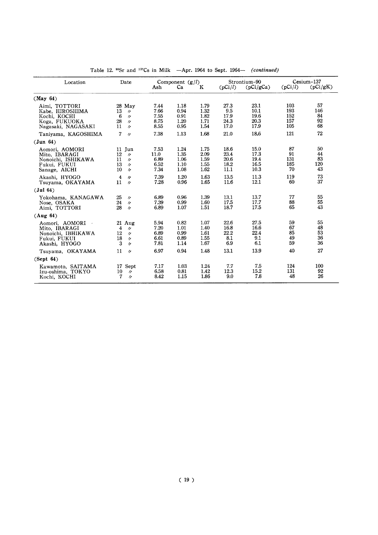| Location                                                                                | Date                                                                                                     | Ash                                  | Component $(g/l)$<br>Ca              | Κ                                    | (pCi/l)                              | Strontium-90<br>(pCi/gCa)            | (pCi/l)                         | Cesium-137<br>(pCi/gK)      |
|-----------------------------------------------------------------------------------------|----------------------------------------------------------------------------------------------------------|--------------------------------------|--------------------------------------|--------------------------------------|--------------------------------------|--------------------------------------|---------------------------------|-----------------------------|
| (May 64)                                                                                |                                                                                                          |                                      |                                      |                                      |                                      |                                      |                                 |                             |
| Aimi, TOTTORI<br>Kabe, HIROSHIMA<br>Kochi, KOCHI<br>Koga, FUKUOKA<br>Nagasaki, NAGASAKI | 28 May<br>13<br>$^{\prime\prime}$<br>6<br>$\prime$<br>28<br>$\prime$<br>11<br>$\prime$                   | 7.44<br>7.66<br>7.55<br>8.75<br>8.55 | 1.18<br>0.94<br>0.91<br>1.20<br>0.95 | 1.79<br>1.32<br>1.82<br>1.71<br>1.54 | 27.3<br>9.5<br>17.9<br>24.3<br>17.0  | 23.1<br>10.1<br>19.6<br>20.3<br>17.9 | 103<br>193<br>152<br>157<br>105 | 57<br>146<br>84<br>92<br>68 |
| Taniyama, KAGOSHIMA                                                                     | 7<br>$\prime$                                                                                            | 7.38                                 | 1.13                                 | 1.68                                 | 21.0                                 | 18.6                                 | 121                             | 72                          |
| (Jun 64)                                                                                |                                                                                                          |                                      |                                      |                                      |                                      |                                      |                                 |                             |
| Aomori, AOMORI<br>Mito, IBARAGI<br>Nonoichi, ISHIKAWA<br>Fukui, FUKUI<br>Sanage, AICHI  | 11 Jun<br>12<br>$\prime$<br>11<br>$\prime$<br>13<br>$\prime$<br>10 <sup>°</sup><br>$\prime$              | 7.53<br>11.0<br>6.89<br>6.52<br>7.34 | 1.24<br>1.35<br>1.06<br>1.10<br>1.08 | 1.75<br>2.09<br>1.59<br>1.55<br>1.62 | 18.6<br>23.4<br>20.6<br>18.2<br>11.1 | 15.0<br>17.3<br>19.4<br>16.5<br>10.3 | 87<br>91<br>131<br>185<br>70    | 50<br>44<br>83<br>120<br>43 |
| Akashi, HYOGO<br>Tsuyama, OKAYAMA                                                       | 4<br>$\prime$<br>11<br>$\prime$                                                                          | 7.39<br>7.28                         | 1.20<br>0.96                         | 1.63<br>1.65                         | 13.5<br>11.6                         | 11.3<br>12.1                         | 119<br>60                       | 73<br>37                    |
| (Jul 64)                                                                                |                                                                                                          |                                      |                                      |                                      |                                      |                                      |                                 |                             |
| Yokohama, KANAGAWA<br>Nose, OSAKA<br>Aimi, TOTTORI                                      | 25<br>$^{\prime\prime}$<br>24<br>$\prime$<br>28<br>$\prime$                                              | 6.89<br>7.39<br>6.89                 | 0.96<br>0.99<br>1.07                 | 1.39<br>1.60<br>1.51                 | 13.1<br>17.5<br>18.7                 | 13.7<br>17.7<br>17.5                 | 77<br>88<br>65                  | 55<br>55<br>43              |
| (Aug 64)                                                                                |                                                                                                          |                                      |                                      |                                      |                                      |                                      |                                 |                             |
| Aomori, AOMORI<br>Mito, IBARAGI<br>Nonoichi, IBHIKAWA<br>Fukui, FUKUI<br>Akashi, HYOGO  | $21 \text{ Aug}$<br>4<br>$^{\prime\prime}$<br>12<br>$\prime$<br>18<br>$^{\prime\prime}$<br>3<br>$\prime$ | 5.94<br>7.20<br>6.89<br>6.61<br>7.81 | 0.82<br>1.01<br>0.99<br>0.89<br>1.14 | 1.07<br>1.40<br>1.61<br>1.55<br>1.67 | 22.6<br>16.8<br>22.2<br>8.1<br>6.9   | 27.5<br>16.6<br>22.4<br>9.1<br>6.1   | 59<br>67<br>85<br>49<br>59      | 55<br>48<br>53<br>36<br>36  |
| Tsuyama, OKAYAMA                                                                        | 11<br>$\prime$                                                                                           | 6.97                                 | 0.94                                 | 1.48                                 | 13.1                                 | 13.9                                 | 40                              | 27                          |
| (Sept 64)                                                                               |                                                                                                          |                                      |                                      |                                      |                                      |                                      |                                 |                             |
| Kawamoto, SAITAMA<br>Izu-oshima, TOKYO<br>Kochi, KOCHI                                  | 17 Sept<br>10<br>$^{\prime\prime}$<br>7<br>$\prime$                                                      | 7.17<br>6.58<br>8.42                 | 1.03<br>0.81<br>1.15                 | 1.24<br>1.42<br>1.86                 | 7.7<br>12.3<br>9.0                   | 7.5<br>15.2<br>7.8                   | 124<br>131<br>48                | 100<br>92<br>26             |

Table 12.  $^{90}$ Sr and  $^{137}$ Cs in Milk -Apr. 1964 to Sept. 1964- (continued)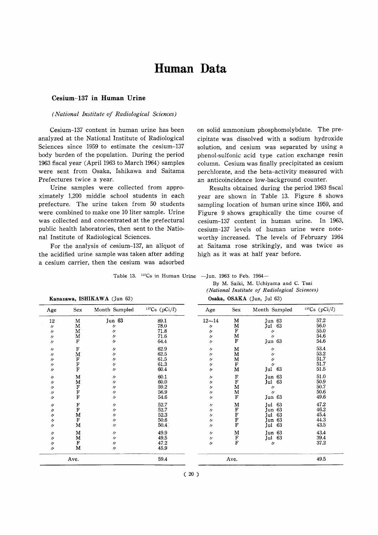# Human Data

#### Cesium-137 in Human Urine

#### (National Institute of Radiological Sciences)

Cesium-137 content in human urine has been analyzed at the National Institute of Radiological Sciences since 1959 to estimate the cesium-137 body burden of the population. During the period 1963 fiscal year (April 1963 to March 1964) samples were sent from Osaka, Ishikawa and Saitama Prefectures twice a year.

Urine samples were collected from approximately 1,200 middle school students in each prefecture. The urine taken from 50 students were combined to make one 10 liter sample. Urine was collected and concentrated at the prefectural public health laboratories, then sent to the National Institute of Radiological Sciences.

For the analysis of cesium-137, an aliquot of the acidified urine sample was taken after adding a cesium carrier, then the cesium was adsorbed on solid ammonium phosphomolybdate. The precipitate was dissolved with a sodium hydroxide solution, and cesium was separated by using a phenol-sulfonic acid type cation exchange resin column. Cesium was finally precipitated as cesium perchlorate, and the beta-activity measured with an anticoincidence low-background counter.

Results obtained during the period 1963 fiscal year are shown in Table 13. Figure 8 shows sampling location of human urine since 1959, and Figure 9 shows graphically the time course of cesium-137 content in human urine. In 1963, cesium-137 levels of human urine were noteworthy increased. The levels of February 1964 at Saitama rose strikingly, and was twice as high as it was at half year before.

Table 13. <sup>137</sup>Cs in Human Urine - Jun. 1963 to Feb. 1964-

| By M. Saiki, M. Uchiyama and C. Tsai                                  |  |                                               |  |
|-----------------------------------------------------------------------|--|-----------------------------------------------|--|
|                                                                       |  | (National Institute of Radiological Sciences) |  |
| $\alpha$ is $\alpha$ and $\alpha$ is $\alpha$ is $\alpha$ is $\alpha$ |  |                                               |  |

|                   | Kanazawa, ISHIKAWA (Jun 63) |                   |                 | Usaka, OSAMA (Jun, Jul 63) |                    |                   |                 |  |
|-------------------|-----------------------------|-------------------|-----------------|----------------------------|--------------------|-------------------|-----------------|--|
| Age               | <b>Sex</b>                  | Month Sampled     | $137Cs$ (pCi/l) | Age                        | Sex                | Month Sampled     | $137Cs$ (pCi/l) |  |
| 12                | M                           | Jun 63            | 89.1            | $12 - 14$                  | м                  | Jun 63            | 57.2            |  |
| $^{\prime\prime}$ | M                           | $^{\prime\prime}$ | 78.0            | "                          | M                  | Jul 63            | 56.0            |  |
| $^{\prime\prime}$ | M                           | 11                | 71.8            | n                          | F                  | 11                | 55.0            |  |
| $^{\prime\prime}$ | M                           | $^{\prime\prime}$ | 71.6            | 11                         | M                  | $^{\prime\prime}$ | 54.6            |  |
| $\prime$          | F                           | n                 | 64.4            | IJ                         | $\mathbf F$        | Jun 63            | 54.6            |  |
| $^{\prime\prime}$ | F                           | IJ                | 62.9            | 11                         | M                  | $^{\prime\prime}$ | 53.4            |  |
| $^{\prime\prime}$ | M                           | n                 | 62.5            | 11                         | M                  | $^{\prime\prime}$ | 53.2            |  |
| 11                |                             | n                 | 61.5            | n                          | M                  | $\prime\prime$    | 51.7            |  |
| $^{\prime\prime}$ |                             | n                 | 61.3            | 11                         | F                  | $^{\prime\prime}$ | 51.7            |  |
| $\prime$          | F<br>F<br>F                 | $\prime$          | 60.4            | 11                         | M                  | Jul 63            | 51.5            |  |
| $^{\prime\prime}$ | M                           | IJ                | 60.1            | 11                         | $\mathbf F$        | Jun 63            | 51.0            |  |
| $^{\prime\prime}$ | M                           | $^{\prime\prime}$ | 60.0            | 11                         | ${\bf F}$          | 63<br>Jul         | 50.9            |  |
| ヶ                 |                             | $^{\prime\prime}$ | 59.2            | n                          | M                  | 11                | 50.7            |  |
| $^{\prime\prime}$ |                             | n                 | 56.9            | 11                         | M                  | $\prime$          | 50.6            |  |
| n                 | F<br>F<br>F<br>F            | $\prime\prime$    | 54.6            | 11                         | F                  | Jun 63            | 49.6            |  |
| 11                | F<br>F                      | 11                | 52.7            | 11                         | M                  | 63<br>Jul         | 47.2            |  |
| W                 |                             | 11                | 52.7            | 11                         | F<br>F             | Jun 63            | 46.2            |  |
| 11                | M                           | n                 | 52.3            | 11                         |                    | 63<br>Jul         | 45.4            |  |
| $^{\prime\prime}$ | $\mathbf F$                 | $^{\prime\prime}$ | 50.6            | $^{\prime\prime}$          | $\rm \bar{F}$      | Jun 63            | 44.3            |  |
| 11                | M                           | $^{\prime\prime}$ | 50.4            | 11                         |                    | 63<br>Jul         | 43.5            |  |
| 11                | M                           | $^{\prime\prime}$ | 49.9            | 11                         | M                  | Jun 63            | 43.4            |  |
| 11                | М                           | $^{\prime\prime}$ | 49.5            | $^{\prime\prime}$          | $_{\rm F}^{\rm F}$ | Jul 63            | 39.4            |  |
| $^{\prime\prime}$ | F                           | n                 | 47.2            | n                          |                    | $\prime\prime$    | 37.2            |  |
| $^{\prime\prime}$ | M                           | 11                | 45.9            |                            |                    |                   |                 |  |
|                   | Ave.                        |                   | 59.4            |                            | Ave.               |                   | 49.5            |  |

|  | (anazawa, ISHIKAWA (Jun 63) |  |  |
|--|-----------------------------|--|--|
|--|-----------------------------|--|--|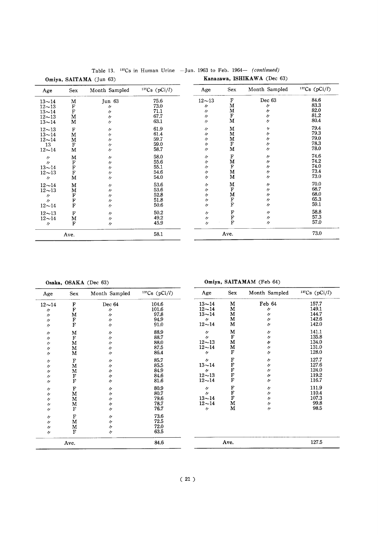|                   |                             | Ulliya, DALLAMA (Juli 00) |               |                   |                                 |                   |                 |
|-------------------|-----------------------------|---------------------------|---------------|-------------------|---------------------------------|-------------------|-----------------|
| Age               | Sex                         | Month Sampled             | 137Cs (pCi/l) | Age               | Sex                             | Month Sampled     | $137Cs$ (pCi/l) |
| $13 - 14$         | M                           | Jun 63                    | 75.6          | $12 - 13$         | F                               | Dec 63            | 84.6            |
| $12 - 13$         |                             | $\prime$                  | 73.0          | n                 | M                               | 11                | 83.3            |
| $13 - 14$         | $_{\rm F}^{\rm F}$          | 11                        | 71.1          | $^{\prime\prime}$ | M                               | 11                | 82.0            |
| $12 - 13$         | ${\bf M}$                   | $\prime$                  | 67.7          | $^{\prime\prime}$ | ${\bf F}$                       | 11                | 81.2            |
| $13 - 14$         | M                           | 11                        | 63.1          | $^{\prime\prime}$ | M                               | $^{\prime\prime}$ | 80.4            |
| $12 - 13$         | $\mathbf F$                 | $\prime$                  | 61.9          | $^{\prime\prime}$ | M                               | $^{\prime\prime}$ | 79.4            |
| $13 - 14$         | M                           | $^{\prime\prime}$         | 61.4          | $^{\prime\prime}$ | M                               | $^{\prime\prime}$ | 79.3            |
| $12 - 14$         | M                           | 11                        | 59.7          | 11                | M                               | "                 | 79.0            |
| 13                | F                           | $^{\prime\prime}$         | 59.0          | V                 | ${\bf F}$                       | $\prime$          | 78.3            |
| $12 - 14$         | M                           | 11                        | 58.7          | $^{\prime\prime}$ | M                               | "                 | 78.0            |
| $\prime$          | M                           | $^{\prime\prime}$         | 58.0          | IJ                | $\mathbf F$                     | $^{\prime\prime}$ | 74.6            |
| $\prime$          |                             | 11                        | 55.6          | $^{\prime\prime}$ | M                               | 11                | 74.2            |
| $13 - 14$         | $\frac{\text{F}}{\text{F}}$ | 11                        | 55.1          | $^{\prime\prime}$ | F                               | "                 | 74.0            |
| $12 - 13$         | F                           | 11                        | 54.6          | $^{\prime\prime}$ | $\mathbf M$                     | 11                | 73.4            |
| $^{\prime\prime}$ | M                           | "                         | 54.0          | $^{\prime\prime}$ | M                               | $^{\prime\prime}$ | 73.0            |
| $12 - 14$         | $\mathbf M$                 | $^{\prime\prime}$         | 53.6          | 11                | M                               | 11                | 70.0            |
| $12 - 13$         | M                           | "                         | 53.6          | $\prime$          | F                               | 11                | 68.7            |
| $^{\prime\prime}$ | F                           | IJ                        | 52.8          | n                 |                                 | "                 | 68.0            |
| $\prime$          |                             | $\prime$                  | 51.8          | 11                |                                 | $^{\prime\prime}$ | 65.3            |
| $12 - 14$         | $\bar{F}$                   | 11                        | 50.6          | $^{\prime\prime}$ | $\frac{\mathbf{M}}{\mathbf{F}}$ | $\prime$          | 59.1            |
| $12 - 13$         | $\mathbf F$                 | 11                        | 50.2          | $\prime$          | F<br>F<br>F                     | 11                | 58.8            |
| $12 - 14$         | M                           | IJ                        | 49.2          | 11                |                                 | n                 | 57.3            |
| $\prime$          | F                           | 11                        | 45.9          | 11                |                                 | $^{\prime\prime}$ | 57.0            |
|                   | Ave.                        |                           | 58.1          |                   | Ave.                            |                   | 73.0            |

Table 13. <sup>137</sup>Cs in Human Urine -Jun. 1963 to Feb. 1964- (continued)<br> $\Lambda$  (Jun 63) **Kanazawa, ISHIKAWA** (Dec 63) Omiya, SAITAMA (Jun 63)

Osaka, OSAKA (Dec 63)

Omiya, SAITAMAM (Feb 64)

|                   |                                     |                   | $137Cs$ (pCi/l) |                   | Sex                         | Month Sampled     | 137Cs (pCi/l) |
|-------------------|-------------------------------------|-------------------|-----------------|-------------------|-----------------------------|-------------------|---------------|
| Age               | Sex                                 | Month Sampled     |                 | Age               |                             |                   |               |
| $12 - 14$         |                                     | Dec 64            | 104.6           | $13 - 14$         | M                           | Feb 64            | 157.7         |
| $^{\prime\prime}$ | $\frac{F}{F}$                       | n                 | 101.6           | $12 - 14$         | M                           | 11                | 149.1         |
| $\prime$          | $\mathbf M$                         | n                 | 97.8            | $13 - 14$         | M                           | "                 | 144.7         |
| $^{\prime\prime}$ |                                     | 11                | 94.9            | $\prime$          | M                           | 11                | 142.6         |
| 11                | $_{\rm F}^{\rm F}$                  | $\prime$          | 91.0            | $12 - 14$         | M                           | 11                | 142.0         |
| $\prime$          | M                                   | $^{\prime\prime}$ | 88.9            | 11                | M                           | 11                | 141.1         |
| "                 | $\mathbf F$                         | $^{\prime\prime}$ | 88.7            | $\prime$          | F                           | $^{\prime\prime}$ | 135.8         |
| 11                | M                                   | 11                | 88.0            | $12 - 13$         | M                           | 11                | 134.0         |
| 11                | M                                   | n                 | 87.5            | $12 - 14$         | M                           | $^{\prime\prime}$ | 131.0         |
| $\prime$          | M                                   | $^{\prime\prime}$ | 86.4            | $^{\prime\prime}$ | $\mathbf F$                 | 11                | 128.0         |
| 11                | F                                   | $^{\prime\prime}$ | 85.7            | $\prime\prime$    | 下下下下下                       | $\prime$          | 127.7         |
| $^{\prime\prime}$ | M                                   | $^{\prime\prime}$ | 85.5            | $13 - 14$         |                             | 11                | 127.6         |
| 11                | M                                   | $\prime\prime$    | 84.9            | $\prime$          |                             | 11                | 124.0         |
| 11                |                                     | $^{\prime\prime}$ | 84.6            | $12 - 13$         |                             | "                 | 119.2         |
| 11                | $\frac{\overline{F}}{\overline{F}}$ | IJ                | 81.6            | $12 - 14$         |                             | "                 | 116.7         |
| "                 | $\mathbf F$                         | 11                | 80.9            | $\prime\prime$    | $\frac{\text{F}}{\text{F}}$ | 11                | 111.9         |
| 11                | M                                   | $^{\prime\prime}$ | 80.7            | $\prime$          |                             | $^{\prime\prime}$ | 110.4         |
| $^{\prime\prime}$ | M                                   | $^{\prime\prime}$ | 79.6            | $13 - 14$         |                             | 11                | 107.3         |
| 11                | M                                   | 11                | 78.7            | $12 - 14$         | M                           | 11                | 99.8          |
| $\prime$          | $\mathbf F$                         | $^{\prime\prime}$ | 76.7            | $\prime\prime$    | M                           | 11                | 98.5          |
| 11                | $\rm F$                             | $^{\prime\prime}$ | 73.6            |                   |                             |                   |               |
| $^{\prime\prime}$ | M                                   | 11                | 72.5            |                   |                             |                   |               |
| $^{\prime\prime}$ | M                                   | $\prime\prime$    | 72.0            |                   |                             |                   |               |
| $^{\prime\prime}$ | $_{\rm F}$                          | $\prime\prime$    | 63.5            |                   |                             |                   |               |
| Ave.              |                                     | 84.6              | Ave.            |                   |                             | 127.5             |               |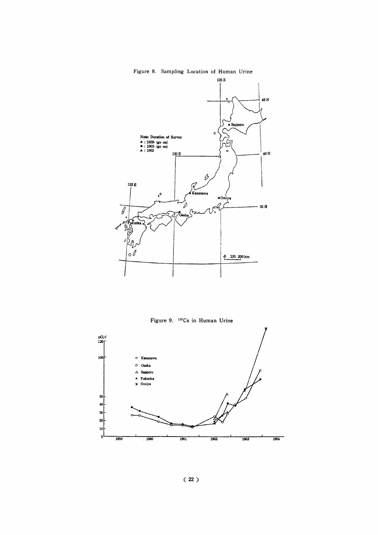#### Figure 8. Sampling Location of Human Urine



Figure 9. <sup>137</sup>Cs in Human Urine